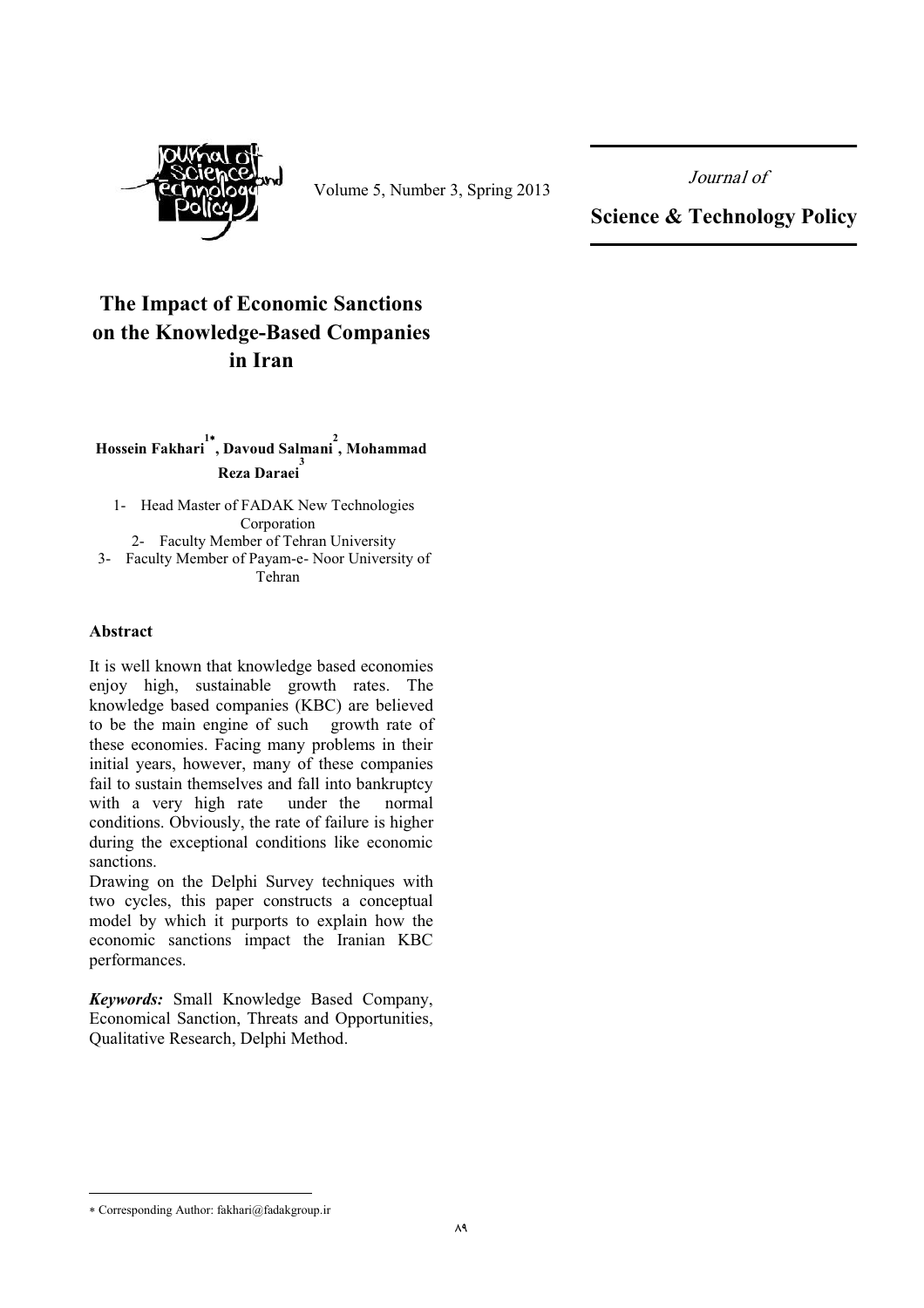

Volume 5, Number 3, Spring 2013

Journal of

**Science & Technology Policy** 

# The Impact of Economic Sanctions on the Knowledge-Based Companies in Iran

# Hossein Fakhari , Davoud Salmani, Mohammad re<br>Reza Daraei

1- Head Master of FADAK New Technologies Corporation 2- Faculty Member of Tehran University 3- Faculty Member of Payam-e- Noor University of Tehran

#### Abstract

It is well known that knowledge based economies enjoy high, sustainable growth rates. The knowledge based companies (KBC) are believed to be the main engine of such growth rate of these economies. Facing many problems in their initial years, however, many of these companies fail to sustain themselves and fall into bankruptcy with a very high rate under the normal conditions. Obviously, the rate of failure is higher during the exceptional conditions like economic sanctions.

Drawing on the Delphi Survey techniques with two cycles, this paper constructs a conceptual model by which it purports to explain how the economic sanctions impact the Iranian KBC performances.

Keywords: Small Knowledge Based Company, Economical Sanction, Threats and Opportunities, Qualitative Research, Delphi Method.

<sup>\*</sup> Corresponding Author: fakhari@fadakgroup.ir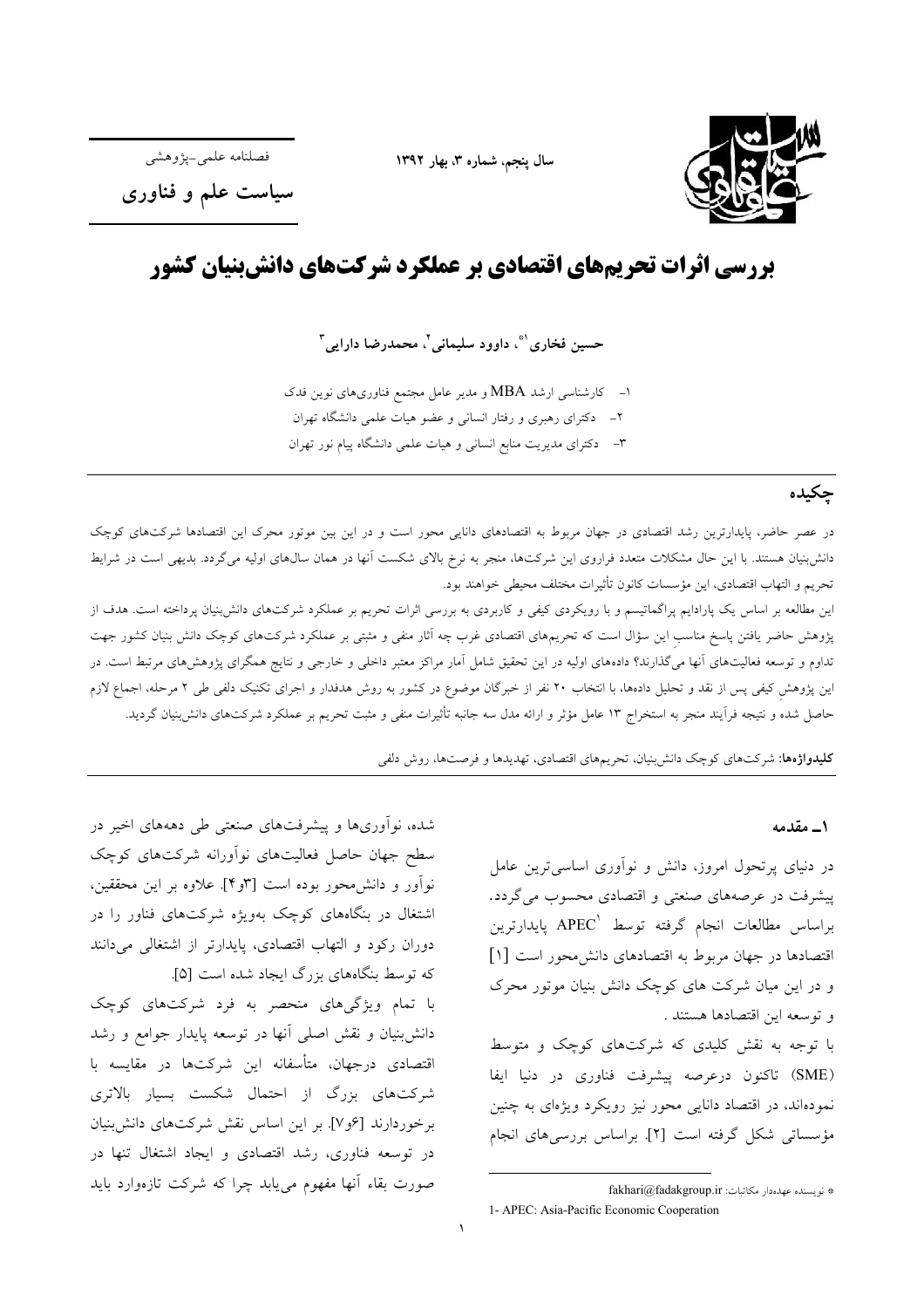

سال ينجم، شماره ٣، بهار ١٣٩٢

فصلنامه علمي-يۋوهشي

سیاست علم و فناوری

# بررسی اثرات تحریمهای اقتصادی بر عملکرد شرکتهای دانش بنیان کشور

حسين فخاري'"، داوود سليماني'، محمدرضا دارايي"

۱– کارشناسی ارشد MBA و مدیر عامل مجتمع فناوریهای نوین فدک ۲– دکترای رهبری و رفتار انسانی و عضو هیات علمی دانشگاه تهران ۳– دکترای مدیریت منابع انسانی و هیات علمی دانشگاه پیام نور تهران

# چکیده

در عصر حاضر، پایدارترین رشد اقتصادی در جهان مربوط به اقتصادهای دانایی محور است و در این بین موتور محرک این اقتصادها شرکتهای کوچک دانش بنیان هستند. با این حال مشکلات متعدد فراروی این شرکتها، منجر به نرخ بالای شکست آنها در همان سالهای اولیه میگردد. بدیهی است در شرایط تحريم و التهاب اقتصادي، اين مؤسسات كانون تأثيرات مختلف محيطي خواهند بود.

این مطالعه بر اساس یک پارادایم پراگماتیسم و با رویکردی کیفی و کاربردی به بررسی اثرات تحریم بر عملکرد شرکتهای دانش;بنیان پرداخته است. هدف از پژوهش حاضر یافتن پاسخ مناسب این سؤال است که تحریمهای اقتصادی غرب چه آثار منفی و مثبتی بر عملکرد شرکتهای کوچک دانش بنیان کشور جهت تداوم و توسعه فعالیتهای آنها میگذارند؟ دادههای اولیه در این تحقیق شامل آمار مراکز معتبر داخلی و خارجی و نتایج همگرای پژوهشهای مرتبط است. در این پژوهش کیفی پس از نقد و تحلیل دادهها، با انتخاب ۲۰ نفر از خبرگان موضوع در کشور به روش هدفدار و اجرای تکنیک دلفی طی ۲ مرحله، اجماع لازم حاصل شده و نتیجه فرآیند منجر به استخراج ۱۳ عامل مؤثر و ارائه مدل سه جانبه تأثیرات منفی و مثبت تحریم بر عملکرد شرکتهای دانش بنیان گردید.

**کلیدواژهها:** شرکتهای کوچک دانش بنیان، تحریمهای اقتصادی، تهدیدها و فرصتها، روش دلفی

### ۱\_ مقدمه

در دنیای پرتحول امروز، دانش و نوآوری اساسیترین عامل پیشرفت در عرصههای صنعتی و اقتصادی محسوب می گردد. براساس مطالعات انجام گرفته توسط APEC یایدارترین اقتصادها در جهان مربوط به اقتصادهای دانش محور است [۱] و در این میان شرکت های کوچک دانش بنیان موتور محرک و توسعه اين اقتصادها هستند .

با توجه به نقش کلیدی که شرکتهای کوچک و متوسط (SME) تاکنون درعرصه پیشرفت فناوری در دنیا ایفا نمودهاند، در اقتصاد دانایی محور نیز رویکرد ویژهای به چنین مؤسساتی شکل گرفته است [۲]. براساس بررسیهای انجام

شده، نوآوریها و پیشرفتهای صنعتی طی دهههای اخیر در سطح جهان حاصل فعالیتهای نوآورانه شرکتهای کوچک نوآور و دانش محور بوده است [۳و۴]. علاوه بر این محققین، اشتغال در بنگاههای کوچک بهویژه شرکتهای فناور را در دوران رکود و التهاب اقتصادی، پایدارتر از اشتغالی میدانند که توسط بنگاههای بزرگ ایجاد شده است [۵]. با تمام ویژگیهای منحصر به فرد شرکتهای کوچک دانش بنیان و نقش اصلی آنها در توسعه پایدار جوامع و رشد اقتصادی درجهان، متأسفانه این شرکتها در مقایسه با شرکتهای بزرگ از احتمال شکست بسیار بالاتری برخوردارند [عو٧]. بر اين اساس نقش شركتهاى دانش بنيان در توسعه فناوری، رشد اقتصادی و ایجاد اشتغال تنها در صورت بقاء آنها مفهوم میbبابد چرا که شرکت تازهوارد باید

<sup>\*</sup> نویسنده عهدهدار مکاتبات: fakhari@fadakgroup.ir 1- APEC: Asia-Pacific Economic Cooperation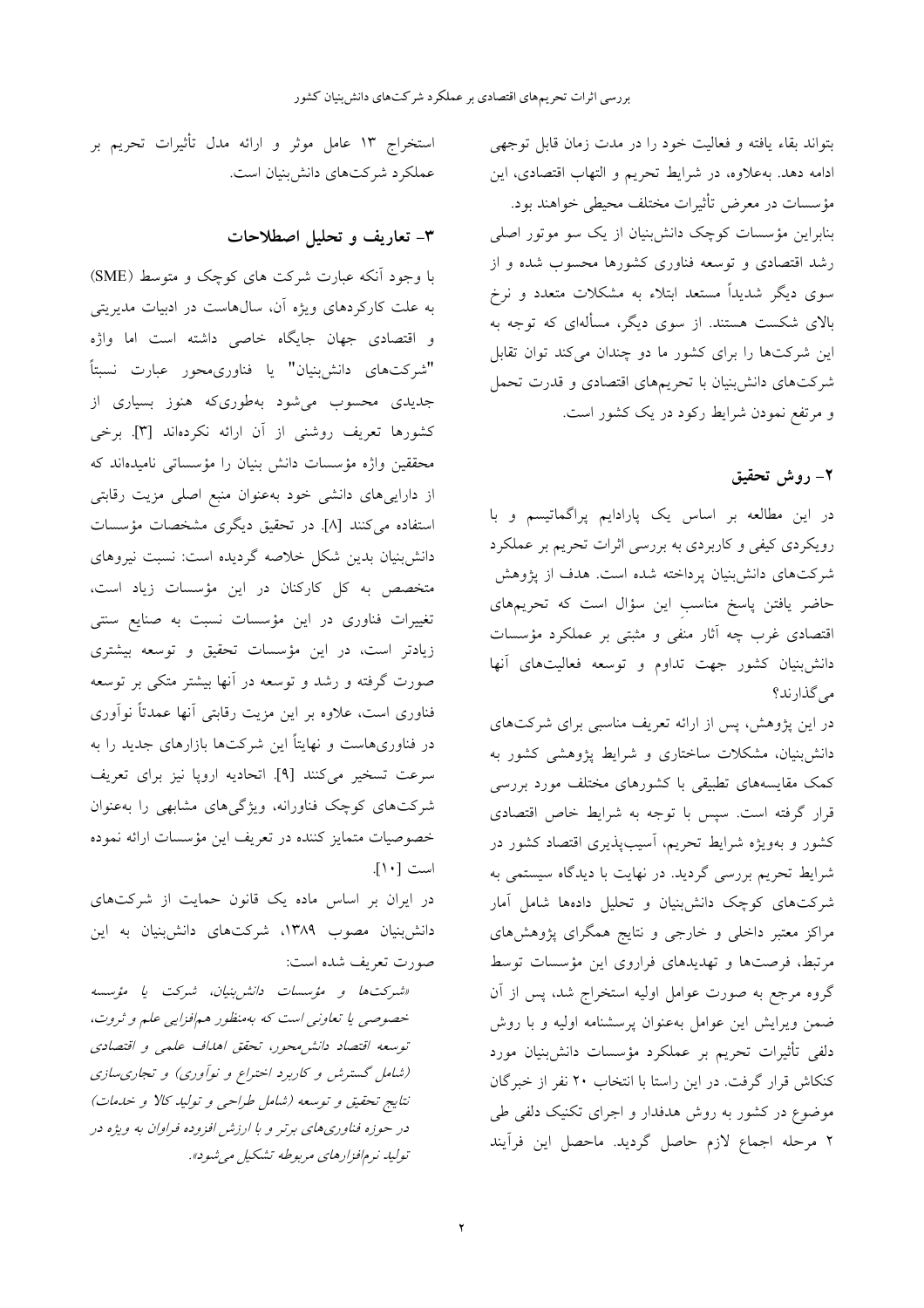بتواند بقاء يافته و فعاليت خود را در مدت زمان قابل توجهي ادامه دهد. بهعلاوه، در شرايط تحريم و التهاب اقتصادى، اين مؤسسات در معرض تأثیرات مختلف محیطی خواهند بود. بنابراین مؤسسات کوچک دانش بنیان از یک سو موتور اصلی رشد اقتصادی و توسعه فناوری کشورها محسوب شده و از سوی دیگر شدیداً مستعد ابتلاء به مشکلات متعدد و نرخ بالای شکست هستند. از سوی دیگر، مسألهای که توجه به این شرکتها را برای کشور ما دو چندان میکند توان تقابل شرکتهای دانشبنیان با تحریمهای اقتصادی و قدرت تحمل و مرتفع نمودن شرایط رکود در یک کشور است.

## ٢- روش تحقيق

در این مطالعه بر اساس یک پارادایم پراگماتیسم و با رویکردی کیفی و کاربردی به بررسی اثرات تحریم بر عملکرد شرکتهای دانش بنیان پرداخته شده است. هدف از پژوهش حاضر یافتن پاسخ مناسب این سؤال است که تحریمهای اقتصادی غرب چه آثار منفی و مثبتی بر عملکرد مؤسسات دانش بنیان کشور جهت تداوم و توسعه فعالیتهای آنها می گذارند؟

در این پژوهش، پس از ارائه تعریف مناسبی برای شرکتهای دانش بنیان، مشکلات ساختاری و شرایط پژوهشی کشور به کمک مقایسههای تطبیقی با کشورهای مختلف مورد بررسی قرار گرفته است. سپس با توجه به شرایط خاص اقتصادی کشور و بهویژه شرایط تحریم، آسیبپذیری اقتصاد کشور در شرایط تحریم بررسی گردید. در نهایت با دیدگاه سیستمی به .<br>شرکتهای کوچک دانش بنیان و تحلیل دادهها شامل آمار مراکز معتبر داخلی و خارجی و نتایج همگرای پژوهشهای مرتبط، فرصتها و تهدیدهای فراروی این مؤسسات توسط گروه مرجع به صورت عوامل اولیه استخراج شد، پس از آن ضمن ویرایش این عوامل بهعنوان پرسشنامه اولیه و با روش دلفی تأثیرات تحریم بر عملکرد مؤسسات دانش بنیان مورد کنکاش قرار گرفت. در این راستا با انتخاب ۲۰ نفر از خبرگان موضوع در کشور به روش هدفدار و اجرای تکنیک دلفی طی ٢ مرحله اجماع لازم حاصل گرديد. ماحصل اين فراّيند

استخراج ۱۳ عامل موثر و ارائه مدل تأثیرات تحریم بر عملکرد شرکتهای دانشبنیان است.

### ۳- تعاریف و تحلیل اصطلاحات

با وجود آنکه عبارت شرکت های کوچک و متوسط (SME) به علت کارکردهای ویژه آن، سال۵است در ادبیات مدیریتی و اقتصادی جهان جایگاه خاصی داشته است اما واژه "شركتهاى دانش;بنيان" يا فناورىمحور عبارت نسبتاً جدیدی محسوب می شود بهطوریکه هنوز بسیاری از كشورها تعريف روشني از آن ارائه نكردهاند [٣]. برخي محققین واژه مؤسسات دانش بنیان را مؤسساتی نامیدهاند که از داراییهای دانشی خود بهعنوان منبع اصلی مزیت رقابتی استفاده می کنند [۸]. در تحقیق دیگری مشخصات مؤسسات دانشبنیان بدین شکل خلاصه گردیده است: نسبت نیروهای متخصص به کل کارکنان در این مؤسسات زیاد است، ۔<br>تغییرات فناوری در این مؤسسات نسبت به صنایع سنتی زیادتر است، در این مؤسسات تحقیق و توسعه بیشتری صورت گرفته و رشد و توسعه در آنها بیشتر متکی بر توسعه فناوری است، علاوه بر این مزیت رقابتی آنها عمدتاً نوآوری در فناوریهاست و نهایتاً این شرکتها بازارهای جدید را به سرعت تسخير مي كنند [٩]. اتحاديه اروپا نيز براي تعريف شرکتهای کوچک فناورانه، ویژگیهای مشابهی را بهعنوان خصوصیات متمایز کننده در تعریف این مؤسسات ارائه نموده است [۱۰].

در ایران بر اساس ماده یک قانون حمایت از شرکتهای دانش بنیان مصوب ۱۳۸۹، شرکتهای دانش بنیان به این صورت تعريف شده است:

«شركتها و مؤسسات دانش بنيان، شركت يا مؤسسه خصوصی یا تعاونی است که بهمنظور همافزایی علم و ثروت، توسعه اقتصاد دانش محور، تحقق اهلاف علمی و اقتصادی (شامل گسترش و کاربرد اختراع و نوآوری) و تجاری سازی نتايج تحقيق و توسعه (شامل طراحي و توليد كالا و خدمات) در حوزه فناوری های برتر و با ارزش افزوده فراوان به ویژه در تولید نرمافزارهای مربوطه تشکیل می شود».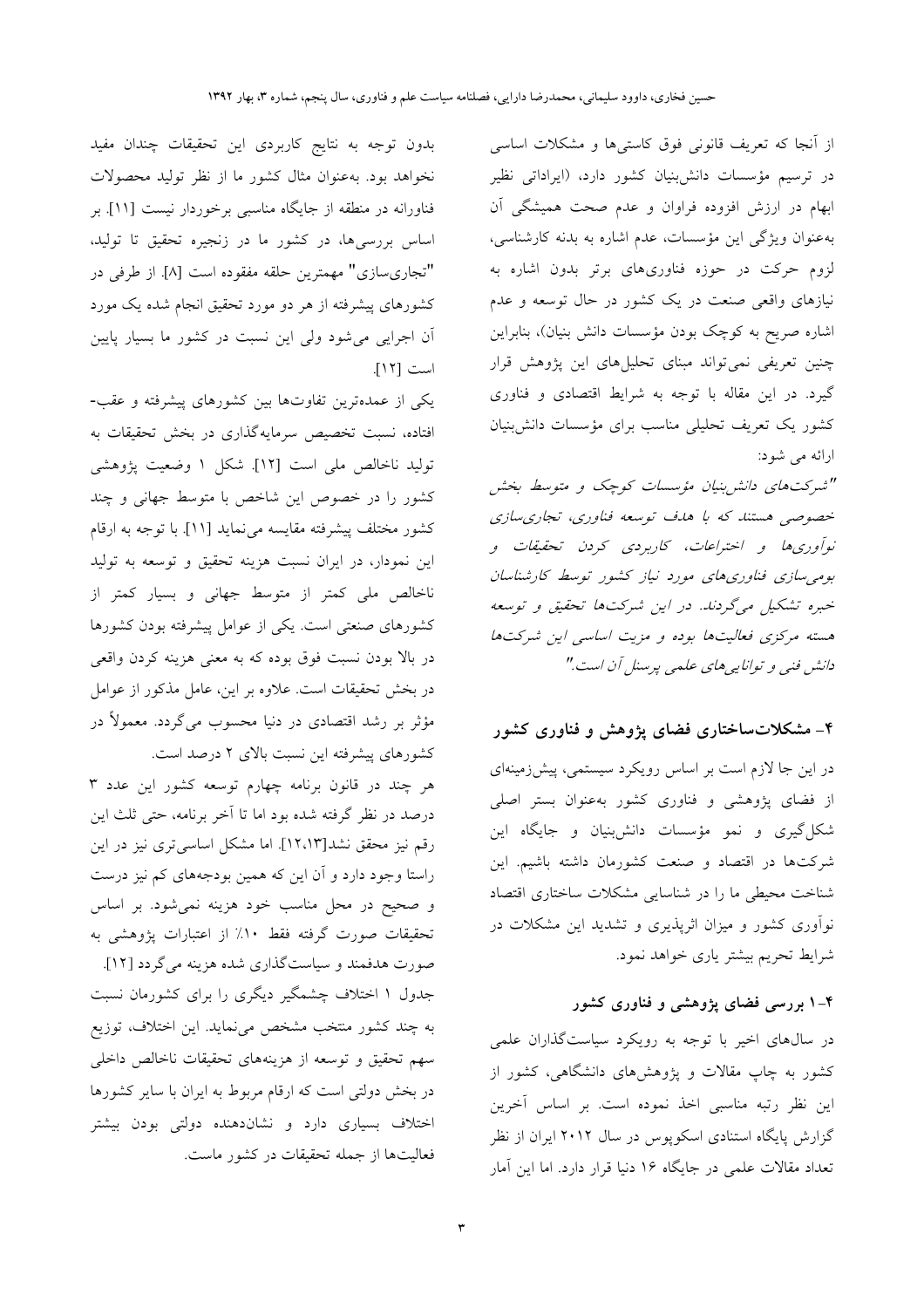از آنجا که تعریف قانونی فوق کاستی ها و مشکلات اساسی در ترسیم مؤسسات دانشبنیان کشور دارد، (ایراداتی نظیر ابهام در ارزش افزوده فراوان و عدم صحت همیشگی آن به عنوان ویژگی این مؤسسات، عدم اشاره به بدنه کارشناسی، لزوم حرکت در حوزه فناوریهای برتر بدون اشاره به نیازهای واقعی صنعت در یک کشور در حال توسعه و عدم اشاره صریح به کوچک بودن مؤسسات دانش بنیان)، بنابراین چنین تعریفی نمی تواند مبنای تحلیلهای این پژوهش قرار گیرد. در این مقاله با توجه به شرایط اقتصادی و فناوری کشور یک تعریف تحلیلی مناسب برای مؤسسات دانش بنیان ارائه مي شود:

"شیرکت های دانشر بنیان مؤسسات کوچک و متوسط بخش خصوصی هستند که با هدف توسعه فناوری، تجاری سازی نوآوری ها و اختراعات، کاربردی کردن تحقیقات و بومی سازی فناوری های مورد نیاز کشور توسط کارشناسان خبره تشکیل میگردند. در این شرکتها تحقیق و توسعه هسته مرکزی فعالیتها بوده و مزیت اساسی این شرکتها دانش فني و توانايي هاي علمي پرسنل أن است."

# ۴\_ مشکلاتساختاری فضای پژوهش و فناوری کشور

در این جا لازم است بر اساس رویکرد سیستمی، پیشزمینهای از فضای پژوهشی و فناوری کشور بهعنوان بستر اصلی شکل گیری و نمو مؤسسات دانش<sub>ا</sub>بنیان و جایگاه این شركتها در اقتصاد و صنعت كشورمان داشته باشيم. اين شناخت محیطی ما را در شناسایی مشکلات ساختاری اقتصاد نوآوری کشور و میزان اثرپذیری و تشدید این مشکلات در شرايط تحريم بيشتر ياري خواهد نمود.

## ۴–۱ بررسی فضای پژوهشی و فناوری کشور

در سالهای اخیر با توجه به رویکرد سیاستگذاران علمی کشور به چاپ مقالات و پژوهشهای دانشگاهی، کشور از این نظر رتبه مناسبی اخذ نموده است. بر اساس آخرین گزارش پایگاه استنادی اسکوپوس در سال ۲۰۱۲ ایران از نظر تعداد مقالات علمی در جایگاه ۱۶ دنیا قرار دارد. اما این آمار

بدون توجه به نتايج كاربردي اين تحقيقات چندان مفيد نخواهد بود. بهعنوان مثال كشور ما از نظر توليد محصولات فناورانه در منطقه از جایگاه مناسبی برخوردار نیست [۱۱] بر .<br>اساس بررسی۵ها، در کشور ما در زنجیره تحقیق تا تولید، "تجاريسازي" مهمترين حلقه مفقوده است [٨]. از طرفي در کشورهای پیشرفته از هر دو مورد تحقیق انجام شده یک مورد آن اجرایی می شود ولی این نسبت در کشور ما بسیار پایین است [١٢].

یکی از عمدهترین تفاوتها بین کشورهای پیشرفته و عقب-افتاده، نسبت تخصیص سرمایهگذاری در بخش تحقیقات به تولید ناخالص ملی است [۱۲]. شکل ۱ وضعیت پژوهشی کشور را در خصوص این شاخص با متوسط جهانی و چند کشور مختلف پیشرفته مقایسه می نماید [۱۱]. با توجه به ارقام این نمودار، در ایران نسبت هزینه تحقیق و توسعه به تولید .<br>ناخالص مل<sub>ی</sub> کمتر از متوسط جهانی و بسیار کمتر از کشورهای صنعتی است. یکی از عوامل پیشرفته بودن کشورها در بالا بودن نسبت فوق بوده که به معنی هزینه کردن واقعی در بخش تحقیقات است. علاوه بر این، عامل مذکور از عوامل مؤثر بر رشد اقتصادی در دنیا محسوب میگردد. معمولاً در کشورهای پیشرفته این نسبت بالای ۲ درصد است.

هر چند در قانون برنامه چهارم توسعه کشور این عدد ۳ درصد در نظر گرفته شده بود اما تا آخر برنامه، حتى ثلث اين رقم نیز محقق نشد[۱۲،۱۳]. اما مشکل اساسی تری نیز در این راستا وجود دارد و آن این که همین بودجههای کم نیز درست و صحیح در محل مناسب خود هزینه نمیشود. بر اساس تحقیقات صورت گرفته فقط ۱۰٪ از اعتبارات پژوهشی به صورت هدفمند و سیاستگذاری شده هزینه میگردد [۱۲].

جدول ۱ اختلاف چشمگیر دیگری را برای کشورمان نسبت به چند کشور منتخب مشخص می نماید. این اختلاف، توزیع سهم تحقیق و توسعه از هزینههای تحقیقات ناخالص داخلی در بخش دولتی است که ارقام مربوط به ایران با سایر کشورها اختلاف بسیاری دارد و نشاندهنده دولتی بودن بیشتر فعالیتها از جمله تحقیقات در کشور ماست.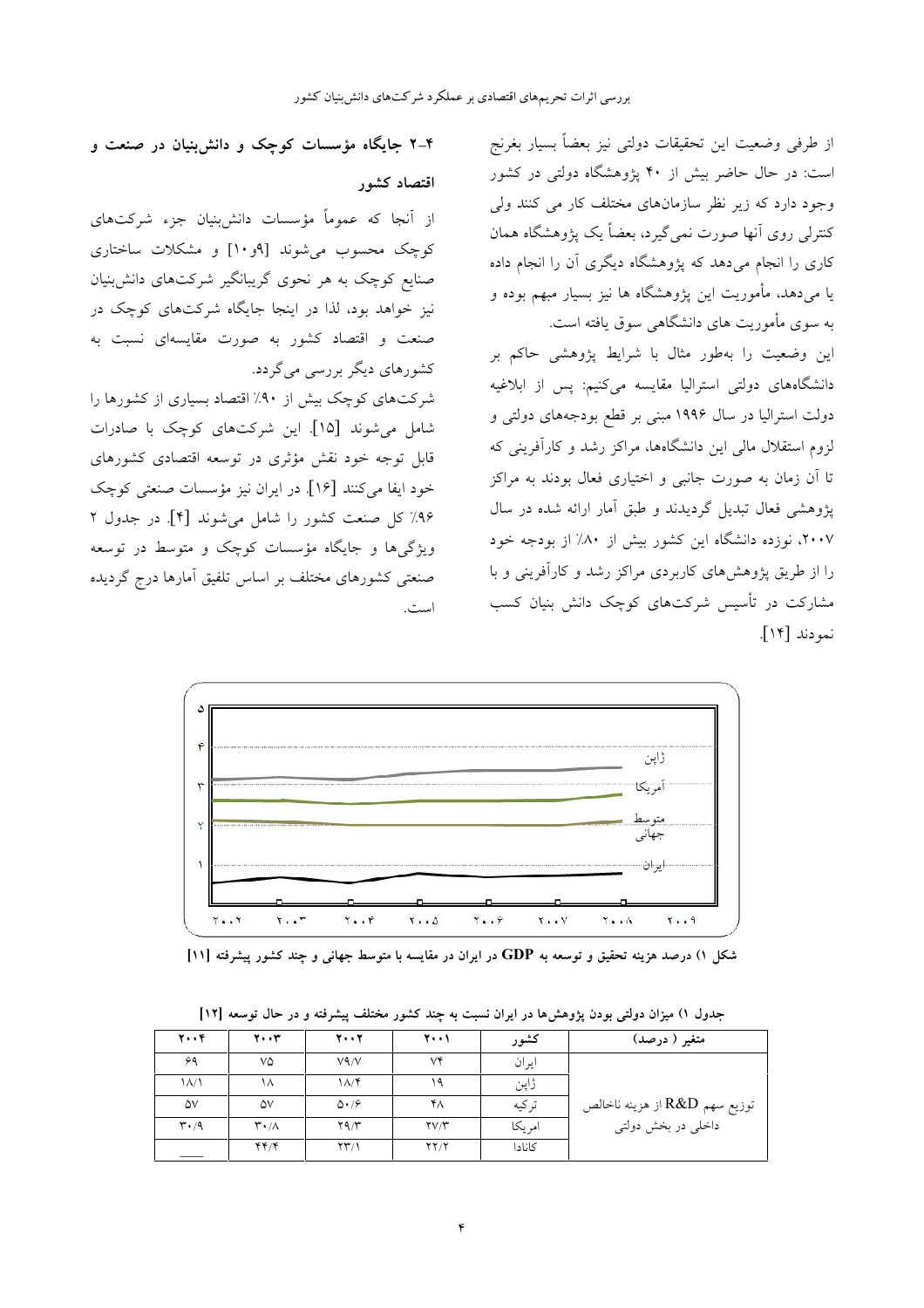از طرفی وضعیت این تحقیقات دولتی نیز بعضاً بسیار بغرنج است: در حال حاضر بیش از ۴۰ پژوهشگاه دولتی در کشور وجود دارد که زیر نظر سازمانهای مختلف کار می کنند ولی کنترلی روی آنها صورت نمی گیرد، بعضاً یک پژوهشگاه همان کاری را انجام می دهد که پژوهشگاه دیگری آن را انجام داده یا میدهد، مأموریت این پژوهشگاه ها نیز بسیار مبهم بوده و به سوی مأموریت های دانشگاهی سوق یافته است.

این وضعیت را بهطور مثال با شرایط پژوهشی حاکم بر دانشگاههای دولتی استرالیا مقایسه میکنیم: پس از ابلاغیه دولت استرالیا در سال ۱۹۹۶ مبنی بر قطع بودجههای دولتی و لزوم استقلال مالی این دانشگاهها، مراکز رشد و کارآفرینی که تا آن زمان به صورت جانبی و اختیاری فعال بودند به مراکز پژوهشی فعال تبدیل گردیدند و طبق آمار ارائه شده در سال ۲۰۰۷، نوزده دانشگاه این کشور بیش از ۸۰٪ از بودجه خود را از طریق یژوهش های کاربردی مراکز رشد و کارآفرینی و با مشارکت در تأسیس شرکتهای کوچک دانش بنیان کسب نمودند [۱۴].



از آنجا که عموماً مؤسسات دانش بنیان جزء شرکتهای کوچک محسوب می شوند [۹و۱۰] و مشکلات ساختاری صنایع کوچک به هر نحوی گریبانگیر شرکتهای دانش بنیان نیز خواهد بود، لذا در اینجا جایگاه شرکتهای کوچک در صنعت و اقتصاد کشور به صورت مقایسهای نسبت به کشورهای دیگر بررسی می گردد.

شرکتهای کوچک بیش از ۹۰٪ اقتصاد بسیاری از کشورها را شامل میشوند [۱۵]. این شرکتهای کوچک با صادرات قابل توجه خود نقش مؤثری در توسعه اقتصادی کشورهای خود ايفا مي كنند [۱۶]. در ايران نيز مؤسسات صنعتي كوچك ۹۶٪ کل صنعت کشور را شامل می شوند [۴]. در جدول ۲ ویژگیها و جایگاه مؤسسات کوچک و متوسط در توسعه صنعتی کشورهای مختلف بر اساس تلفیق آمارها درج گردیده است.



شکل ۱) درصد هزینه تحقیق و توسعه به GDP در ایران در مقایسه با متوسط جهانی و چند کشور پیشرفته [۱۱]

| ۲۰۰۴                          | ۲۰۰۳                        | 77                     | ۲۰۰۱                                                  | كشور   | متغیر ( درصد)                 |
|-------------------------------|-----------------------------|------------------------|-------------------------------------------------------|--------|-------------------------------|
| ۶۹                            | ٧۵                          | $V \sim V$             | ٧۴                                                    | ايران  |                               |
| ۱۸/۱                          | ۱۸                          | $\Lambda/\mathfrak{F}$ | ۱۹                                                    | ژاپن   |                               |
| ۵٧                            | ۵۷                          | $\Delta \cdot 19$      | ۴۸                                                    | تركيه  | توزيع سهم R&D از هزينه ناخالص |
| $\mathsf{r} \cdot \mathsf{r}$ | $\mathsf{r}\cdot\mathsf{v}$ | Y9/Y                   | $\mathsf{Y} \mathsf{V} \mathsf{\Lambda}^{\mathsf{r}}$ | امريكا | داخلی در بخش دولتبی           |
|                               | 44/4                        | $\Upsilon\Upsilon/1$   | ۲۲/۲                                                  | كانادا |                               |

جدول ۱) میزان دولتی بودن یژوهش ها در ایران نسبت به چند کشور مختلف پیشرفته و در حال توسعه [۱۲]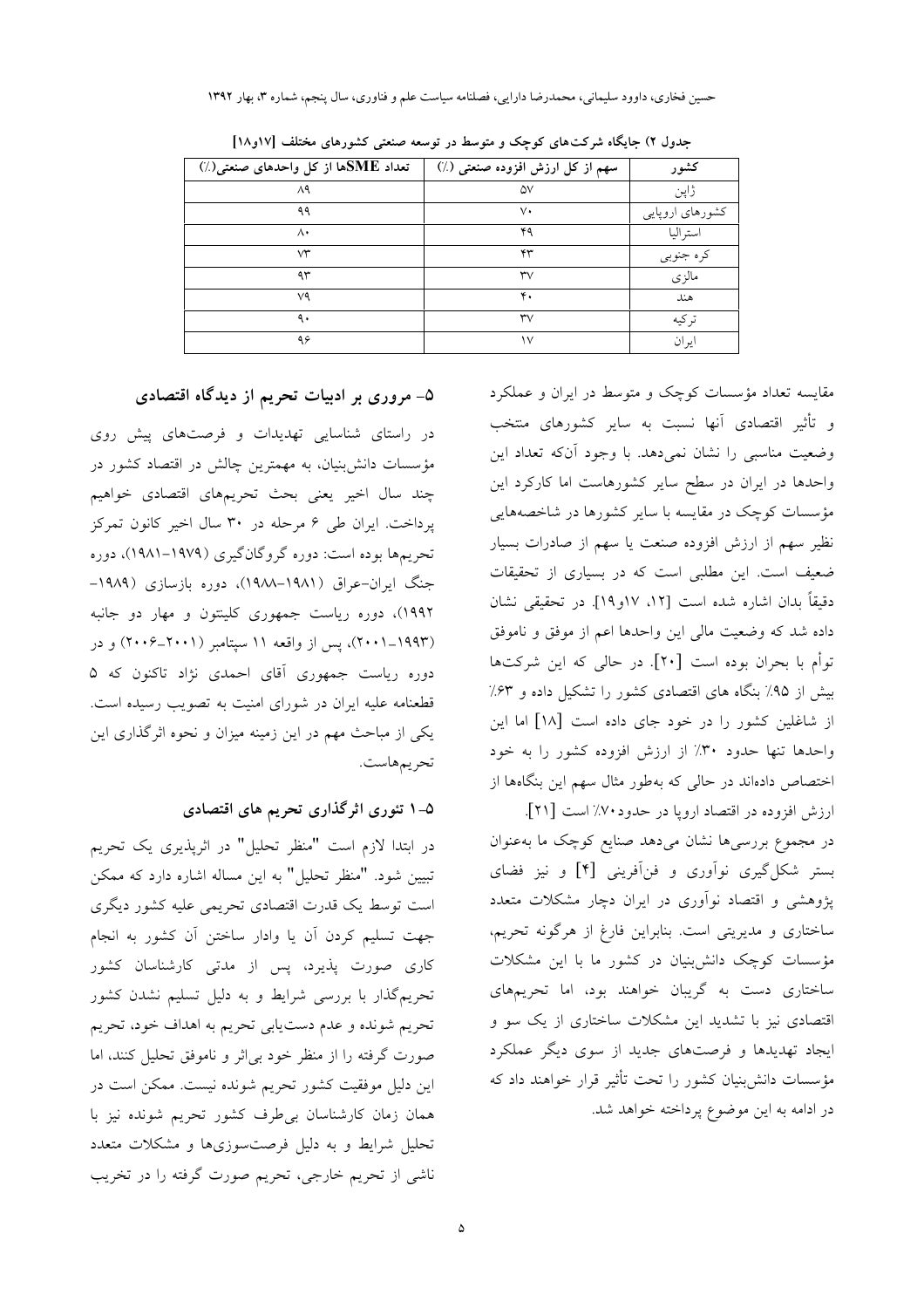حسین فخاری، داوود سلیمانی، محمدرضا دارایی، فصلنامه سیاست علم و فناوری، سال پنجم، شماره ۳، بهار ۱۳۹۲

| تعداد SMEها از کل واحدهای صنعتی(٪) | سهم از کل ارزش افزوده صنعتی (٪) | كشور            |
|------------------------------------|---------------------------------|-----------------|
| ۸۹                                 | ۵۷                              | ژاپن            |
| ۹۹                                 | v٠                              | كشورهاي اروپايي |
| ۸۰                                 | ۴۹                              | استراليا        |
| v٣                                 | ۴۳                              | كره جنوبي       |
| ۹۳                                 | $\mathsf{rv}$                   | مالزي           |
| ٧٩                                 | ۴.                              | هند             |
| ٩.                                 | $\mathsf{rv}$                   | تر کىه          |
| ۹۶                                 | ١٧                              | ايران           |

جدول ۲) جایگاه شرکتهای کوچک و متوسط در توسعه صنعتی کشورهای مختلف [۱۷و۱۸]

مقایسه تعداد مؤسسات کوچک و متوسط در ایران و عملکرد و تأثیر اقتصادی آنها نسبت به سایر کشورهای منتخب وضعیت مناسبی را نشان نمیدهد. با وجود آنکه تعداد این واحدها در ایران در سطح سایر کشورهاست اما کارکرد این مؤسسات کوچک در مقایسه با سایر کشورها در شاخصههایی نظیر سهم از ارزش افزوده صنعت یا سهم از صادرات بسیار ضعیف است. این مطلبی است که در بسیاری از تحقیقات دقيقاً بدان اشاره شده است [١٢، ١٧و١٩]. در تحقيقي نشان داده شد كه وضعيت مالي اين واحدها اعم از موفق و ناموفق توأم با بحران بوده است [۲۰]. در حالی که این شرکتها بیش از ۹۵٪ بنگاه های اقتصادی کشور را تشکیل داده و ۶۳٪ از شاغلین کشور را در خود جای داده است [۱۸] اما این واحدها تنها حدود ٣٠٪ از ارزش افزوده كشور را به خود اختصاص دادهاند در حالی که بهطور مثال سهم این بنگاهها از

ارزش افزوده در اقتصاد ارويا در حدود ۷۰٪ است [۲۱]. در مجموع بررسیها نشان میدهد صنایع کوچک ما بهعنوان بستر شكل گيري نواوري و فن آفريني [۴] و نيز فضاي پژوهشی و اقتصاد نوآوری در ایران دچار مشکلات متعدد ساختاری و مدیریتی است. بنابراین فارغ از هرگونه تحریم، مؤسسات کوچک دانشبنیان در کشور ما با این مشکلات ساختاری دست به گریبان خواهند بود، اما تحریمهای اقتصادی نیز با تشدید این مشکلات ساختاری از یک سو و ایجاد تهدیدها و فرصتهای جدید از سوی دیگر عملکرد مؤسسات دانش بنیان کشور را تحت تأثیر قرار خواهند داد که در ادامه به این موضوع پرداخته خواهد شد.

#### ۵– مروری بر ادبیات تحریم از دیدگاه اقتصادی

در راستای شناسایی تهدیدات و فرصتهای پیش روی مؤسسات دانش بنیان، به مهمترین چالش در اقتصاد کشور در چند سال اخیر یعنی بحث تحریمهای اقتصادی خواهیم پرداخت. ایران طی ۶ مرحله در ۳۰ سال اخیر کانون تمرکز تحریمها بوده است: دوره گروگانگیری (۱۹۷۹–۱۹۸۱)، دوره جنگ ایران-عراق (۱۹۸۱–۱۹۸۸)، دوره بازسازی (۱۹۸۹– ۱۹۹۲)، دوره ریاست جمهوری کلینتون و مهار دو جانبه (۲۰۰۱–۲۰۰۱)، پس از واقعه ۱۱ سیتامبر (۲۰۰۱–۲۰۰۶) و در دوره ریاست جمهوری آقای احمدی نژاد تاکنون که ۵ قطعنامه علیه ایران در شورای امنیت به تصویب رسیده است. یکی از مباحث مهم در این زمینه میزان و نحوه اثرگذاری این تحريمهاست.

#### ۵–۱ تئوری اثرگذاری تحریم های اقتصادی

در ابتدا لازم است "منظر تحلیل" در اثرپذیری یک تحریم تبیین شود. "منظر تحلیل" به این مساله اشاره دارد که ممکن است توسط یک قدرت اقتصادی تحریمی علیه کشور دیگری جهت تسليم كردن آن يا وادار ساختن آن كشور به انجام کاری صورت پذیرد، پس از مدتی کارشناسان کشور تحریمگذار با بررسی شرایط و به دلیل تسلیم نشدن کشور .<br>تحریم شونده و عدم دستیابی تحریم به اهداف خود، تحریم صورت گرفته را از منظر خود بی!ثر و ناموفق تحلیل کنند، اما این دلیل موفقیت کشور تحریم شونده نیست. ممکن است در همان زمان كارشناسان بى طرف كشور تحريم شونده نيز با تحلیل شرایط و به دلیل فرصتسوزیها و مشکلات متعدد ناشی از تحریم خارجی، تحریم صورت گرفته را در تخریب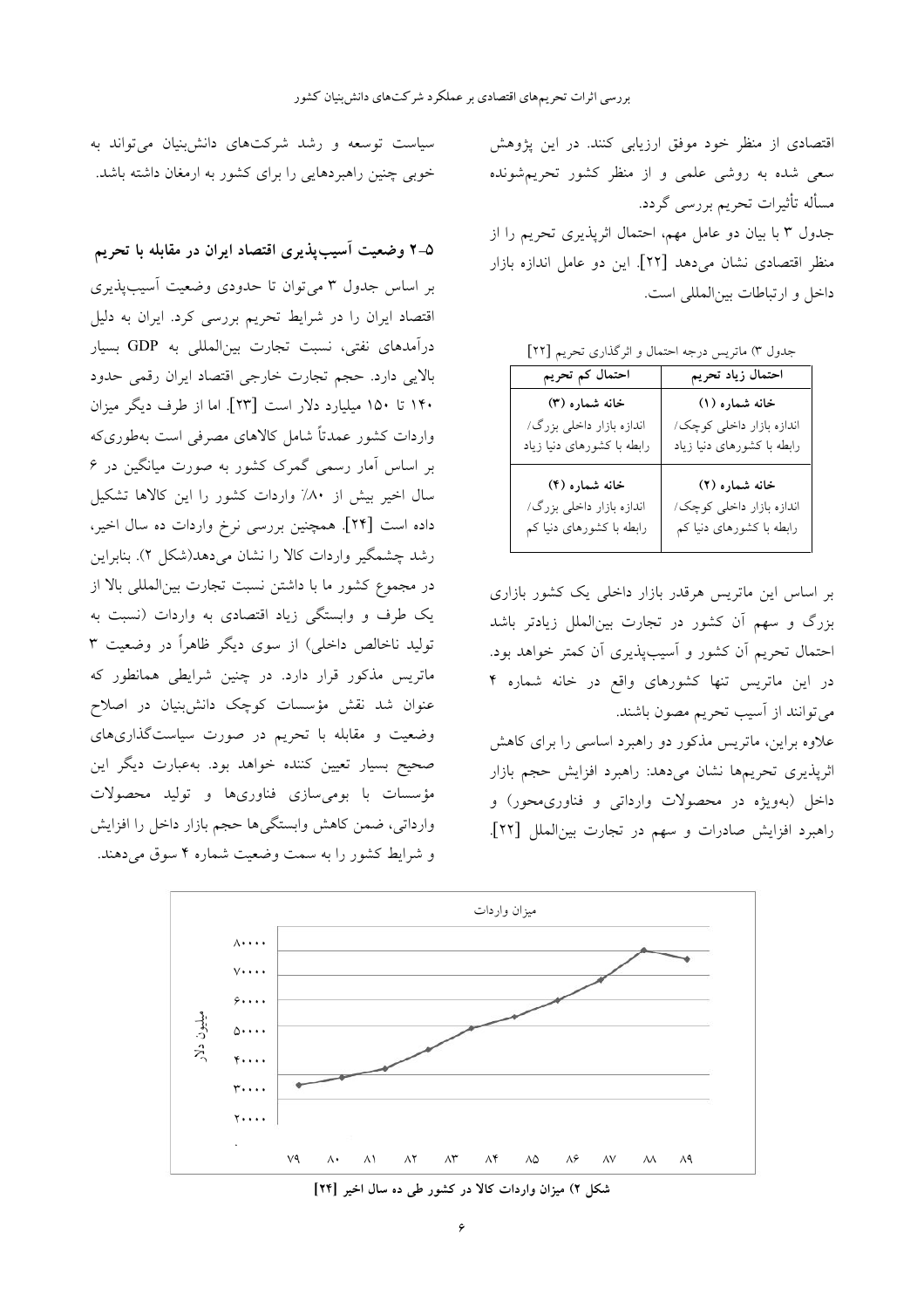اقتصادی از منظر خود موفق ارزیابی کنند. در این پژوهش سعی شده به روشی علمی و از منظر کشور تحریمشونده مسأله تأثيرات تحريم بررسي گردد. جدول ۳ با بیان دو عامل مهم، احتمال اثرپذیری تحریم را از

منظر اقتصادی نشان میدهد [۲۲]. این دو عامل اندازه بازار داخل و ارتباطات بين|لمللي است.

جدول ٣) ماتريس درجه احتمال و اثر گذاري تحريم [٢٢]

| احتمال کم تحریم            | احتمال زياد تحريم          |
|----------------------------|----------------------------|
| خانه شماره (۳)             | خانه شماره (۱)             |
| اندازه بازار داخلی بزرگ/   | اندازه بازار داخلی کوچک/   |
| رابطه با کشورهای دنیا زیاد | رابطه با کشورهای دنیا زیاد |
| خانه شماره (۴)             | خانه شماره (۲)             |
| اندازه بازار داخلی بزرگ/   | اندازه بازار داخلی کوچک/   |
| رابطه با کشورهای دنیا کم   | رابطه با کشورهای دنیا کم   |

بر اساس این ماتریس هرقدر بازار داخلی یک کشور بازاری بزرگ و سهم آن کشور در تجارت بینالملل زیادتر باشد احتمال تحریم أن کشور و أسیبپذیری أن کمتر خواهد بود. در این ماتریس تنها کشورهای واقع در خانه شماره ۴ می توانند از آسیب تحریم مصون باشند.

علاوه براین، ماتریس مذکور دو راهبرد اساسی را برای کاهش اثرپذیری تحریمها نشان میدهد: راهبرد افزایش حجم بازار داخل (بهویژه در محصولات وارداتی و فناوریمحور) و راهبرد افزایش صادرات و سهم در تجارت بین الملل [٢٢].

ميزان واردات  $\lambda \cdot \cdot \cdot$  $V \cdot \cdot \cdot$  $5.7.7$ میلیون دلا  $\circ \cdot \cdot \cdot$  $\ddot{\mathbf{y}}$ ...  $\mathbf{r}$ ...  $\overline{y}$ ...  $V<sup>q</sup>$  $\Lambda\Lambda$  $\Lambda$ ٩  $\wedge\wedge$  $\wedge\!\!\uparrow$  $\wedge\hspace{-0.6em}\uparrow$  $\Lambda$ ۴  $\land \Diamond$  $\Lambda$ ۶  $\wedge$ 

شکل ۲) میزان واردات کالا در کشور طی ده سال اخیر [۲۴]

سیاست توسعه و رشد شرکتهای دانش بنیان می تواند به خوبی چنین راهبردهایی را برای کشور به ارمغان داشته باشد.

۵–۲ وضعیت آسیبپذیری اقتصاد ایران در مقابله با تحریم بر اساس جدول ۳ می توان تا حدودی وضعیت آسیب پذیری اقتصاد ایران را در شرایط تحریم بررسی کرد. ایران به دلیل درآمدهای نفتی، نسبت تجارت بینالمللی به GDP بسیار بالايي دارد. حجم تجارت خارجي اقتصاد ايران رقمي حدود ۱۴۰ تا ۱۵۰ میلیارد دلار است [۲۳]. اما از طرف دیگر میزان واردات کشور عمدتاً شامل کالاهای مصرفی است بهطوریکه بر اساس آمار رسمی گمرک کشور به صورت میانگین در ۶ سال اخیر بیش از ۸۰٪ واردات کشور را این کالاها تشکیل داده است [۲۴]. همچنین بررسی نرخ واردات ده سال اخیر، رشد چشمگیر واردات کالا را نشان می دهد(شکل ۲). بنابراین در مجموع كشور ما با داشتن نسبت تجارت بين المللي بالا از یک طرف و وابستگی زیاد اقتصادی به واردات (نسبت به تولید ناخالص داخلی) از سوی دیگر ظاهراً در وضعیت ۳ ماتریس مذکور قرار دارد. در چنین شرایطی همانطور که عنوان شد نقش مؤسسات کوچک دانش بنیان در اصلاح وضعیت و مقابله با تحریم در صورت سیاستگذاریهای صحیح بسیار تعیین کننده خواهد بود. بهعبارت دیگر این مؤسسات با بومىسازى فناورىها و توليد محصولات وارداتي، ضمن كاهش وابستگي ها حجم بازار داخل را افزايش و شرایط کشور را به سمت وضعیت شماره ۴ سوق میدهند.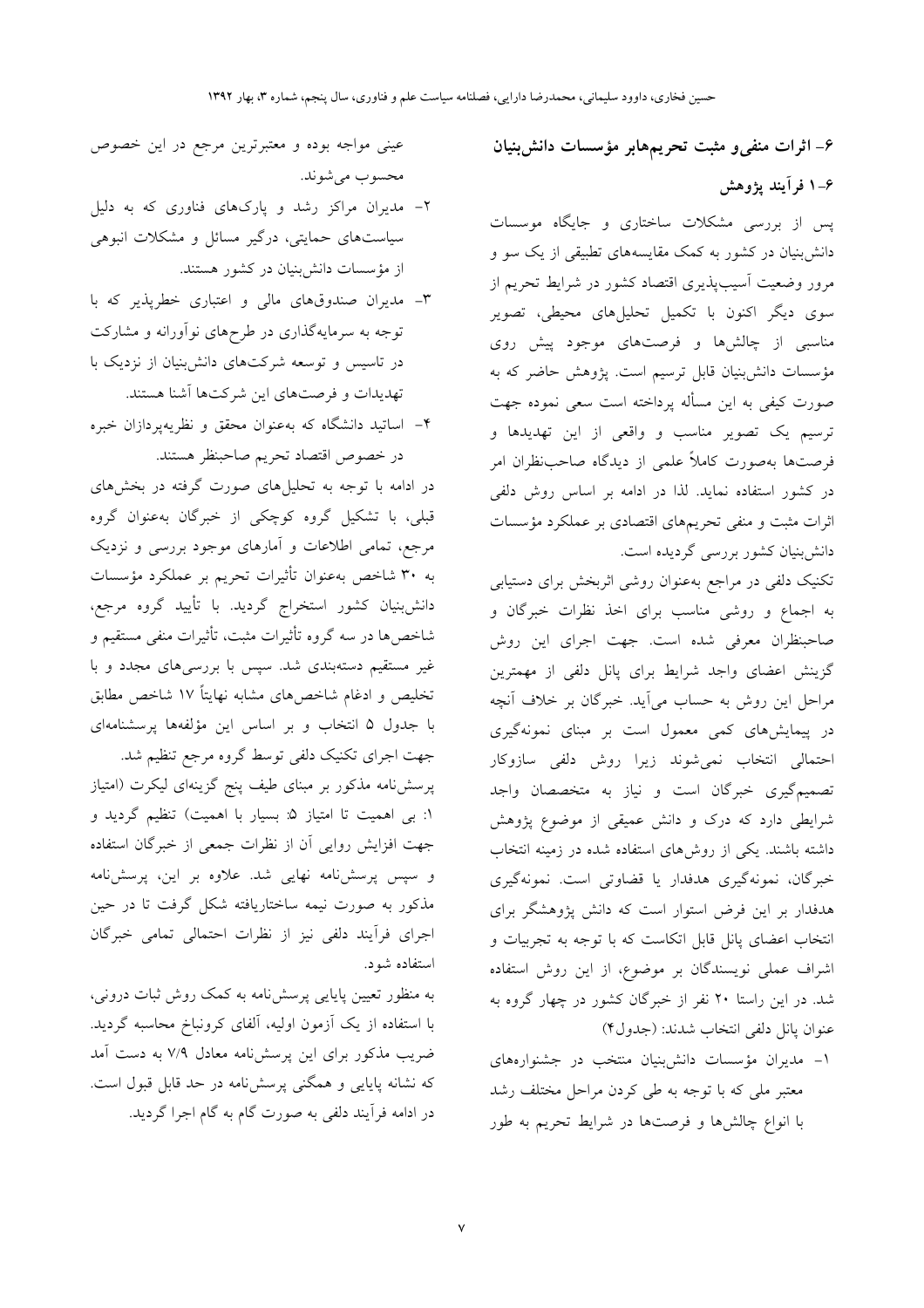۶- اثرات منفی و مثبت تحریمهابر مؤسسات دانش بنیان

۶–۱ فرآیند یژوهش

پس از بررسی مشکلات ساختاری و جایگاه موسسات دانش بنیان در کشور به کمک مقایسههای تطبیقی از یک سو و مرور وضعیت آسیبیذیری اقتصاد کشور در شرایط تحریم از .<br>سوی دیگر اکنون با تکمیل تحلیلهای محیطی، تصویر مناسبی از چالشها و فرصتهای موجود پیش روی مؤسسات دانشبنیان قابل ترسیم است. پژوهش حاضر که به صورت کیفی به این مسأله پرداخته است سعی نموده جهت ترسیم یک تصویر مناسب و واقعی از این تهدیدها و فرصتها بهصورت كاملاً علمى از ديدگاه صاحبنظران امر در کشور استفاده نماید. لذا در ادامه بر اساس روش دلفی اثرات مثبت و منفی تحریمهای اقتصادی بر عملکرد مؤسسات دانشبنیان کشور بررسی گردیده است.

تکنیک دلفی در مراجع بهعنوان روشی اثربخش برای دستیابی به اجماع و روشی مناسب برای اخذ نظرات خبرگان و صاحبنظران معرفی شده است. جهت اجرای این روش گزینش اعضای واجد شرایط برای پانل دلفی از مهمترین مراحل این روش به حساب میآید. خبرگان بر خلاف آنچه در پیمایشهای کمی معمول است بر مبنای نمونهگیری احتمالي انتخاب نمى شوند زيرا روش دلفى سازوكار تصمیم گیری خبرگان است و نیاز به متخصصان واجد شرایطی دارد که درک و دانش عمیقی از موضوع پژوهش داشته باشند. یکی از روش های استفاده شده در زمینه انتخاب خبرگان، نمونهگیری هدفدار یا قضاوتی است. نمونهگیری هدفدار بر این فرض استوار است که دانش پژوهشگر برای انتخاب اعضای پانل قابل اتکاست که با توجه به تجربیات و اشراف عملی نویسندگان بر موضوع، از این روش استفاده شد. در این راستا ۲۰ نفر از خبرگان کشور در چهار گروه به عنوان يانل دلفي انتخاب شدند: (جدول۴)

١- مديران مؤسسات دانش بنيان منتخب در جشنوارههاى معتبر ملي كه با توجه به طي كردن مراحل مختلف رشد با انواع چالشها و فرصتها در شرایط تحریم به طور

عینی مواجه بوده و معتبرترین مرجع در این خصوص محسوب مي شوند.

- ۲- مدیران مراکز رشد و پارکهای فناوری که به دلیل سیاستهای حمایتی، درگیر مسائل و مشکلات انبوهی از مؤسسات دانش.بنیان در کشور هستند.
- ٣- مديران صندوقهاى مالى و اعتبارى خطرپذير كه با توجه به سرمایهگذاری در طرحهای نوآورانه و مشارکت در تاسیس و توسعه شرکتهای دانشبنیان از نزدیک با تهدیدات و فرصتهای این شرکتها آشنا هستند.
- ۴– اساتید دانشگاه که بهعنوان محقق و نظریهپردازان خبره در خصوص اقتصاد تحريم صاحبنظر هستند.

در ادامه با توجه به تحلیلهای صورت گرفته در بخشهای قبلی، با تشکیل گروه کوچکی از خبرگان بهعنوان گروه مرجع، تمامی اطلاعات و آمارهای موجود بررسی و نزدیک به ۳۰ شاخص بهعنوان تأثیرات تحریم بر عملکرد مؤسسات دانشبنیان کشور استخراج گردید. با تأیید گروه مرجع، شاخصها در سه گروه تأثیرات مثبت، تأثیرات منفی مستقیم و غیر مستقیم دستهبندی شد. سپس با بررسیهای مجدد و با تخلیص و ادغام شاخصهای مشابه نهایتاً ۱۷ شاخص مطابق با جدول ۵ انتخاب و بر اساس این مؤلفهها پرسشنامهای

جهت اجرای تکنیک دلفی توسط گروه مرجع تنظیم شد. پرسشنامه مذکور بر مبنای طیف پنج گزینهای لیکرت (امتیاز ١: بي اهميت تا امتياز ۵: بسيار با اهميت) تنظيم گرديد و جهت افزایش روایی آن از نظرات جمعی از خبرگان استفاده و سپس پرسش،نامه نهایی شد. علاوه بر این، پرسش،نامه مذکور به صورت نیمه ساختاریافته شکل گرفت تا در حین اجرای فرآیند دلفی نیز از نظرات احتمالی تمامی خبرگان استفاده شود.

به منظور تعیین پایایی پرسش نامه به کمک روش ثبات درونی، با استفاده از یک آزمون اولیه، آلفای کرونباخ محاسبه گردید. ضریب مذکور برای این پرسشنامه معادل ۷/۹ به دست آمد که نشانه پایایی و همگنی پرسشiامه در حد قابل قبول است. در ادامه فرآیند دلفی به صورت گام به گام اجرا گردید.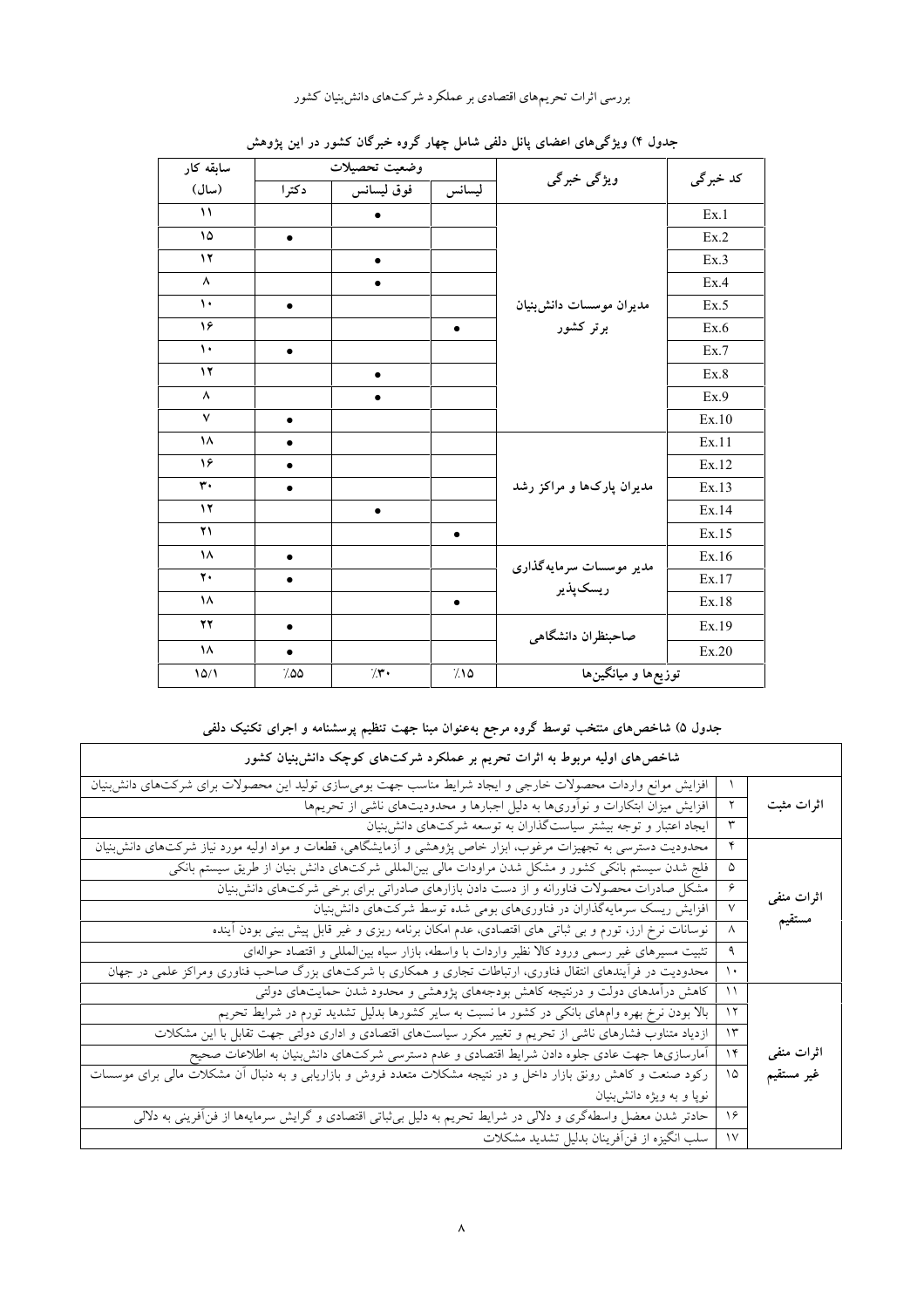بررسی اثرات تحریمهای اقتصادی بر عملکرد شرکتهای دانش بنیان کشور

| سابقه کار     |           | وضعيت تحصيلات |           |                                 |           |
|---------------|-----------|---------------|-----------|---------------------------------|-----------|
| (سال)         | دكترا     | فوق ليسانس    | ليسانس    | ویژگی خبرگی                     | کد خبر گی |
| $\lambda$     |           | $\bullet$     |           |                                 | Ex.1      |
| ۱۵            | $\bullet$ |               |           |                                 | Ex.2      |
| $\mathbf{y}$  |           | $\bullet$     |           |                                 | Ex.3      |
| ٨             |           | $\bullet$     |           |                                 | Ex.4      |
| $\mathbf{L}$  | $\bullet$ |               |           | مديران موسسات دانش;نيان         | Ex.5      |
| ۱۶            |           |               | $\bullet$ | برتر کشور                       | Ex.6      |
| $\mathcal{L}$ | $\bullet$ |               |           |                                 | Ex.7      |
| $\mathcal{N}$ |           | $\bullet$     |           |                                 | Ex.8      |
| ٨             |           | $\bullet$     |           |                                 | Ex.9      |
| $\checkmark$  | $\bullet$ |               |           |                                 | Ex.10     |
| ۱۸            | $\bullet$ |               |           |                                 | Ex.11     |
| ۱۶            | ٠         |               |           |                                 | Ex.12     |
| ٣.            | $\bullet$ |               |           | مدیران پارکها و مراکز رشد       | Ex.13     |
| $\mathbf{y}$  |           | $\bullet$     |           |                                 | Ex.14     |
| ۲۱            |           |               | $\bullet$ |                                 | Ex.15     |
| ١٨            | $\bullet$ |               |           | مدیر موسسات سرمایهگذاری         | Ex.16     |
| $\mathbf{y}$  | $\bullet$ |               |           | ريسكپذير                        | Ex.17     |
| ۱۸            |           |               | $\bullet$ |                                 | Ex.18     |
| $\mathbf{y}$  | $\bullet$ |               |           | صاحبنظران دانشگاهی              | Ex.19     |
| ۱۸            | $\bullet$ |               |           |                                 | Ex.20     |
| 10/1          | ۵۵٪       | $/$ r.        | 7.10      | توزیعها و میانگین <sup>ها</sup> |           |

جدول ۴) ویژگ<sub>ی</sub>های اعضای پانل دلفی شامل چهار گروه خبرگان کشور در این پژوهش

# جدول ۵) شاخص۵ای منتخب توسط گروه مرجع بهعنوان مبنا جهت تنظیم پرسشنامه و اجرای تکنیک دلفی

| شاخصهای اولیه مربوط به اثرات تحریم بر عملکرد شرکتهای کوچک دانش بنیان کشور                                       |                  |            |
|-----------------------------------------------------------------------------------------------------------------|------------------|------------|
| افزایش موانع واردات محصولات خارجی و ایجاد شرایط مناسب جهت بومیسازی تولید این محصولات برای شرکتهای دانش;نیان     |                  |            |
| افزایش میزان ابتکارات و نوأوریها به دلیل اجبارها و محدودیتهای ناشی از تحریمها                                   |                  | اثرات مثبت |
| ایجاد اعتبار و توجه بیشتر سیاست گذاران به توسعه شرکتهای دانش بنیان                                              | ٣                |            |
| محدودیت دسترسی به تجهیزات مرغوب، ابزار خاص پژوهشی و أزمایشگاهی، قطعات و مواد اولیه مورد نیاز شرکتهای دانش;بنیان | ۴                |            |
| فلج شدن سیستم بانکی کشور و مشکل شدن مراودات مالی بین لمللی شرکتهای دانش بنیان از طریق سیستم بانکی               | ۵                |            |
| مشکل صادرات محصولات فناورانه و از دست دادن بازارهای صادراتی برای برخی شرکتهای دانش بنیان                        | ۶                | اثرات منفى |
| افزایش ریسک سرمایهگذاران در فناوریهای بومی شده توسط شرکتهای دانش بنیان                                          | $\vee$           |            |
| نوسانات نرخ ارز، تورم و بی ثباتی های اقتصادی، عدم امکان برنامه ریزی و غیر قابل پیش بینی بودن آینده              | $\wedge$         | مستقيم     |
| تثبیت مسیرهای غیر رسمی ورود کالا نظیر واردات با واسطه، بازار سیاه بین لمللی و اقتصاد حوالهای                    | ٩                |            |
| محدودیت در فرأیندهای انتقال فناوری، ارتباطات تجاری و همکاری با شرکتهای بزرگ صاحب فناوری ومراکز علمی در جهان     | ١٠               |            |
| کاهش درأمدهای دولت و درنتیجه کاهش بودجههای پژوهشی و محدود شدن حمایتهای دولتی                                    | ۱۱               |            |
| بالا بودن نرخ بهره وامهای بانکی در کشور ما نسبت به سایر کشورها بدلیل تشدید تورم در شرایط تحریم                  | ۱۲               |            |
| ازدیاد متناوب فشارهای ناشی از تحریم و تغییر مکرر سیاستهای اقتصادی و اداری دولتی جهت تقابل با این مشکلات         | ۱۳               |            |
| أمارسازیها جهت عادی جلوه دادن شرایط اقتصادی و عدم دسترسی شرکتهای دانش;نیان به اطلاعات صحیح                      | ۱۴               | اثرات منفى |
| رکود صنعت و کاهش رونق بازار داخل و در نتیجه مشکلات متعدد فروش و بازاریابی و به دنبال أن مشکلات مالی برای موسسات | ۱۵               | غير مستقيم |
| نوپا و به ویژه دانش;نیان                                                                                        |                  |            |
| حادتر شدن معضل واسطهگری و دلالی در شرایط تحریم به دلیل بی¢باتی اقتصادی و گرایش سرمایهها از فنأفرینی به دلالی    | ۱۶               |            |
| سلب انگیزه از فن أفرینان بدلیل تشدید مشکلات                                                                     | $\lambda\Lambda$ |            |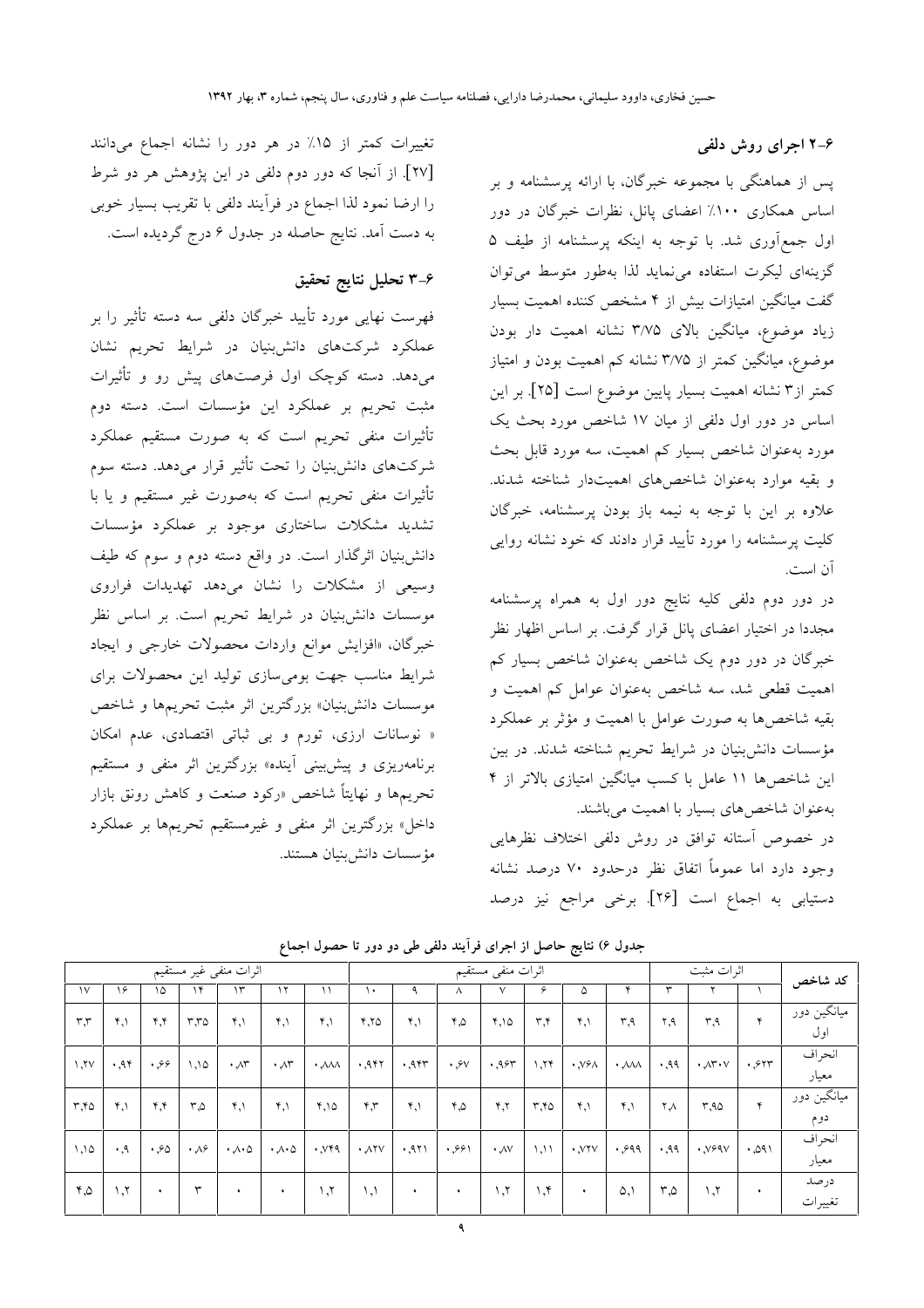۴-۲ اجرای روش دلفی

پس از هماهنگی با مجموعه خبرگان، با ارائه پرسشنامه و بر اساس همکاری ۱۰۰٪ اعضای پانل، نظرات خبرگان در دور اول جمع آوری شد. با توجه به اینکه پرسشنامه از طیف ۵ گزینهای لیکرت استفاده می نماید لذا بهطور متوسط می توان گفت میانگین امتیازات بیش از ۴ مشخص کننده اهمیت بسیار زیاد موضوع، میانگین بالای ۳/۷۵ نشانه اهمیت دار بودن موضوع، میانگین کمتر از ۳/۷۵ نشانه کم اهمیت بودن و امتیاز كمتر از۳ نشانه اهميت بسيار پايين موضوع است [۲۵]. بر اين اساس در دور اول دلفی از میان ۱۷ شاخص مورد بحث یک مورد به عنوان شاخص بسیار کم اهمیت، سه مورد قابل بحث و بقیه موارد بهعنوان شاخصهای اهمیتدار شناخته شدند. علاوه بر این با توجه به نیمه باز بودن پرسشنامه، خبرگان کلیت پرسشنامه را مورد تأیید قرار دادند که خود نشانه روایی آن است.

در دور دوم دلفی کلیه نتایج دور اول به همراه پرسشنامه مجددا در اختیار اعضای پانل قرار گرفت. بر اساس اظهار نظر خبرگان در دور دوم یک شاخص بهعنوان شاخص بسیار کم اهمیت قطعی شد، سه شاخص بهعنوان عوامل کم اهمیت و بقیه شاخصها به صورت عوامل با اهمیت و مؤثر بر عملکرد مؤسسات دانش بنیان در شرایط تحریم شناخته شدند. در بین این شاخص۵۱ ۱۱ عامل با کسب میانگین امتیازی بالاتر از ۴ بهعنوان شاخص های بسیار با اهمیت میباشند.

در خصوص آستانه توافق در روش دلفی اختلاف نظرهایی وجود دارد اما عموماً اتفاق نظر درحدود ۷۰ درصد نشانه دستیابی به اجماع است [۲۶]. برخی مراجع نیز درصد

| اثرات منفى غير مستقيم |                    |                         |                  |                             | اثرات منفى مستقيم           |                                 |                       |                             |                        |                    | اثرات مثبت                    |                                   |                                 | كد شاخص |                                        |      |                                              |
|-----------------------|--------------------|-------------------------|------------------|-----------------------------|-----------------------------|---------------------------------|-----------------------|-----------------------------|------------------------|--------------------|-------------------------------|-----------------------------------|---------------------------------|---------|----------------------------------------|------|----------------------------------------------|
| $\vee$                | ۱۶                 | ١۵                      | ۱۴               | ۱۳                          | ۱۲                          |                                 | ١٠                    |                             | л                      |                    |                               | ۵                                 |                                 |         |                                        |      |                                              |
| $r_{,r}$              | 4.1                | $\mathbf{r}$            | $r_{,70}$        | $\mathfrak{r},\mathfrak{h}$ | ۴,۱                         | $\mathfrak{r},\mathfrak{h}$     | Y,Y                   | $\mathfrak{r},\mathfrak{h}$ | ۵,۴                    | 4,10               | $\mathbf{r} \cdot \mathbf{r}$ | $\mathfrak{r}$                    | ۳۹                              | ۲.۹     | ٣.٩                                    | ۴    | <sub>.</sub> میانگین دور <sup>،</sup><br>اول |
| V, V                  | .95                | .99                     | 1,10             | $\cdot \wedge r$            | $\cdot \sqrt{r}$            | $\cdot$ $\lambda\lambda\lambda$ | .957                  | .955                        | $\cdot$ $\circ$ $\vee$ | .955               | 1,75                          | $\cdot$ , $\vee$ $\circ$ $\wedge$ | $\cdot$ $\lambda\lambda\lambda$ | .99     | $\cdot \mathcal{N}^{\star} \cdot \vee$ | .517 | انحراف<br>معيار                              |
| $r$ , $r$             | 4.1                | $\mathbf{y},\mathbf{y}$ | ۵,۳              | $\mathfrak{r},\mathfrak{h}$ | $\mathbf{Y}, \mathbf{Y}$    | 4,10                            | $\mathbf{r}$          | $\mathfrak{r},\mathfrak{h}$ | ۵,۴                    | Y,Y                | ۲.۴۵                          | $\mathfrak{r}$                    | $\mathfrak{r},\mathfrak{h}$     | ۲Λ      | ۹۵.۳                                   | ۴    | میانگین دور<br>دوم                           |
| 1,10                  | $\cdot$ , 9        | .50                     | $\cdot \sqrt{2}$ | $\cdot \wedge \cdot \wedge$ | $\cdot \wedge \cdot \wedge$ | $\cdot$ , $V49$                 | $\cdot$ $\lambda$ ۲۷  | .971                        | .991                   | $\cdot \sqrt{v}$   | 1,11                          | $\cdot$ , $VYV$                   | .999                            | .99     | $\cdot$ , $V99V$                       | .091 | انحراف<br>معيار                              |
| ۵,۴                   | $\lambda, \lambda$ | $\ddot{\phantom{1}}$    | ٣                | $\bullet$                   | $\bullet$                   | $\lambda, \lambda$              | $\lambda$ , $\lambda$ | ٠                           | $\bullet$              | $\lambda, \lambda$ | 1, 5                          | $\ddot{\phantom{1}}$              | $\Delta$                        | ۳,۵     | ١,٢                                    | ٠    | در صد<br>تغييرات                             |

جدول ۶) نتایج حاصل از اجرای فرآیند دلفی طی دو دور تا حصول اجماع

تغییرات کمتر از ١۵٪ در هر دور را نشانه اجماع میدانند [۲۷]. از آنجا که دور دوم دلفی در این پژوهش هر دو شرط را ارضا نمود لذا اجماع در فراًيند دلفي با تقريب بسيار خوبي به دست آمد. نتایج حاصله در جدول ۶ درج گردیده است.

#### ۴-۳ تحلیل نتایج تحقیق

فهرست نهایی مورد تأیید خبرگان دلفی سه دسته تأثیر را بر عملکرد شرکتهای دانشبنیان در شرایط تحریم نشان میدهد. دسته کوچک اول فرصتهای پیش رو و تأثیرات مثبت تحریم بر عملکرد این مؤسسات است. دسته دوم تأثیرات منفی تحریم است که به صورت مستقیم عملکرد شرکتهای دانش بنیان را تحت تأثیر قرار میدهد. دسته سوم تأثیرات منفی تحریم است که بهصورت غیر مستقیم و یا با تشدید مشکلات ساختاری موجود بر عملکرد مؤسسات دانش:بنیان اثرگذار است. در واقع دسته دوم و سوم که طیف وسیعی از مشکلات را نشان میدهد تهدیدات فراروی موسسات دانشبنیان در شرایط تحریم است. بر اساس نظر خبرگان، «افزایش موانع واردات محصولات خارجی و ایجاد شرایط مناسب جهت بومی سازی تولید این محصولات برای موسسات دانش بنیان» بزرگترین اثر مثبت تحریمها و شاخص « نوسانات ارزی، تورم و بی ثباتی اقتصادی، عدم امکان برنامهریزی و پیش بینی آینده» بزرگترین اثر منفی و مستقیم تحریمها و نهایتاً شاخص «رکود صنعت و کاهش رونق بازار داخل» بزرگترین اثر منفی و غیرمستقیم تحریمها بر عملکرد مؤسسات دانش بنيان هستند.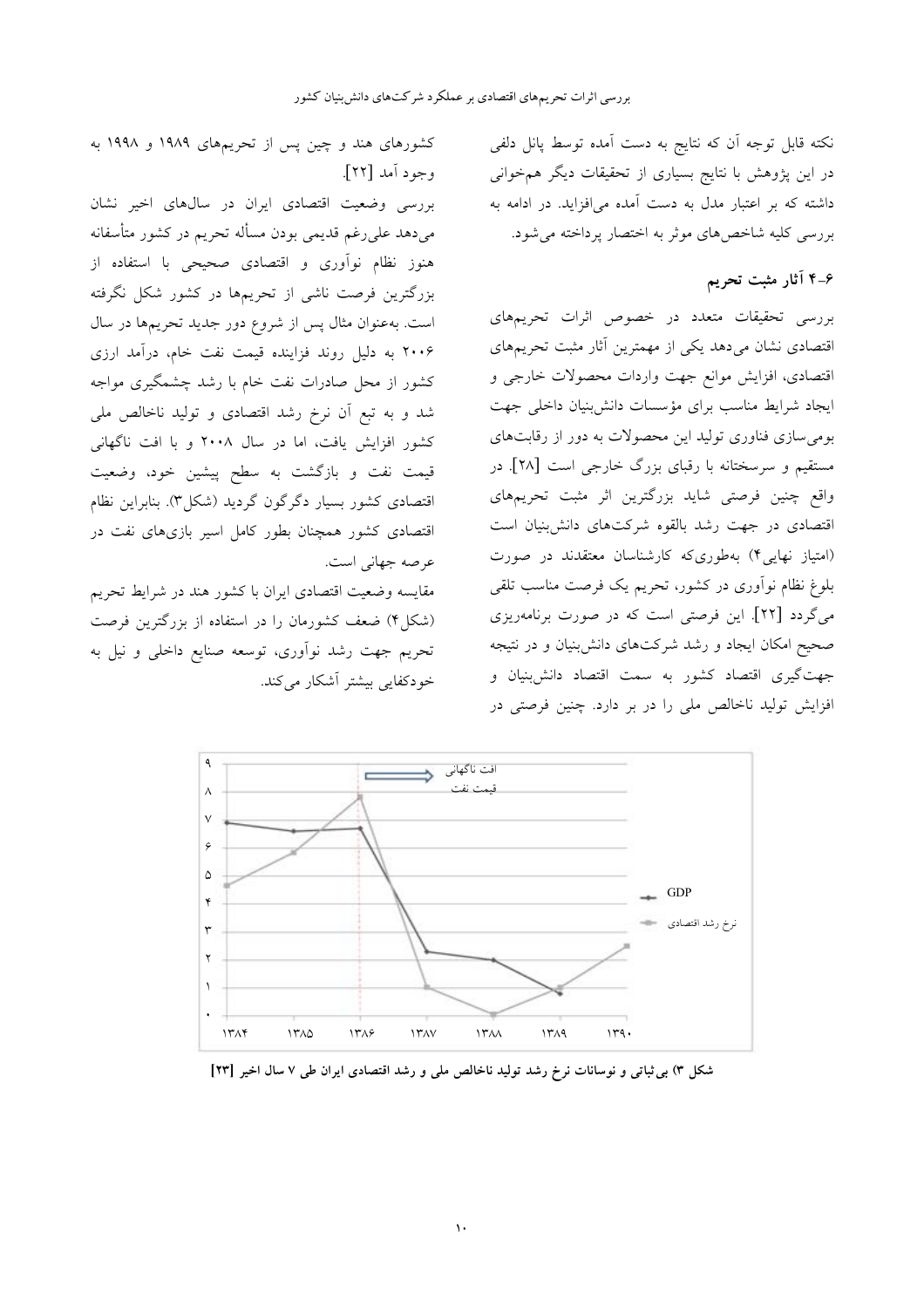نکته قابل توجه آن که نتایج به دست آمده توسط پانل دلفی در این پژوهش با نتایج بسیاری از تحقیقات دیگر همخوانی داشته که بر اعتبار مدل به دست آمده می افزاید. در ادامه به بررسی کلیه شاخصهای موثر به اختصار پرداخته می شود.

### ۶-۴ آثار مثبت تحریم

بررسی تحقیقات متعدد در خصوص اثرات تحریمهای اقتصادی نشان میدهد یکی از مهمترین آثار مثبت تحریمهای اقتصادی، افزایش موانع جهت واردات محصولات خارجی و ايجاد شرايط مناسب براى مؤسسات دانش بنيان داخلى جهت بومی سازی فناوری تولید این محصولات به دور از رقابتهای مستقیم و سرسختانه با رقبای بزرگ خارجی است [۲۸]. در واقع چنین فرصتی شاید بزرگترین اثر مثبت تحریمهای اقتصادی در جهت رشد بالقوه شرکتهای دانش بنیان است (امتیاز نهایی۴) بهطوریکه کارشناسان معتقدند در صورت بلوغ نظام نوأوري در كشور، تحريم يک فرصت مناسب تلقى میگردد [۲۲]. این فرصتی است که در صورت برنامهریزی صحیح امکان ایجاد و رشد شرکتهای دانش بنیان و در نتیجه جهت گیری اقتصاد کشور به سمت اقتصاد دانش بنیان و افزایش تولید ناخالص ملی را در بر دارد. چنین فرصتی در



بررسی وضعیت اقتصادی ایران در سالهای اخیر نشان میدهد علیرغم قدیمی بودن مسأله تحریم در کشور متأسفانه هنوز نظام نوأوري و اقتصادي صحيحي با استفاده از بزرگترین فرصت ناشی از تحریمها در کشور شکل نگرفته است. بهعنوان مثال پس از شروع دور جدید تحریمها در سال ۲۰۰۶ به دلیل روند فزاینده قیمت نفت خام، درآمد ارزی کشور از محل صادرات نفت خام با رشد چشمگیری مواجه شد و به تبع اَن نرخ رشد اقتصادی و تولید ناخالص ملی کشور افزایش یافت، اما در سال ۲۰۰۸ و با افت ناگهانی قیمت نفت و بازگشت به سطح پیشین خود، وضعیت اقتصادی کشور بسیار دگرگون گردید (شکل۲). بنابراین نظام اقتصادی کشور همچنان بطور کامل اسیر بازیهای نفت در عرصه جهاني است.

مقايسه وضعيت اقتصادى ايران با كشور هند در شرايط تحريم (شکل۴) ضعف کشورمان را در استفاده از بزرگترین فرصت تحریم جهت رشد نوآوری، توسعه صنایع داخلی و نیل به خودکفایی بیشتر آشکار می کند.



شکل ۳) بی ثباتی و نوسانات نرخ رشد تولید ناخالص ملی و رشد اقتصادی ایران طی ۷ سال اخیر [۲۳]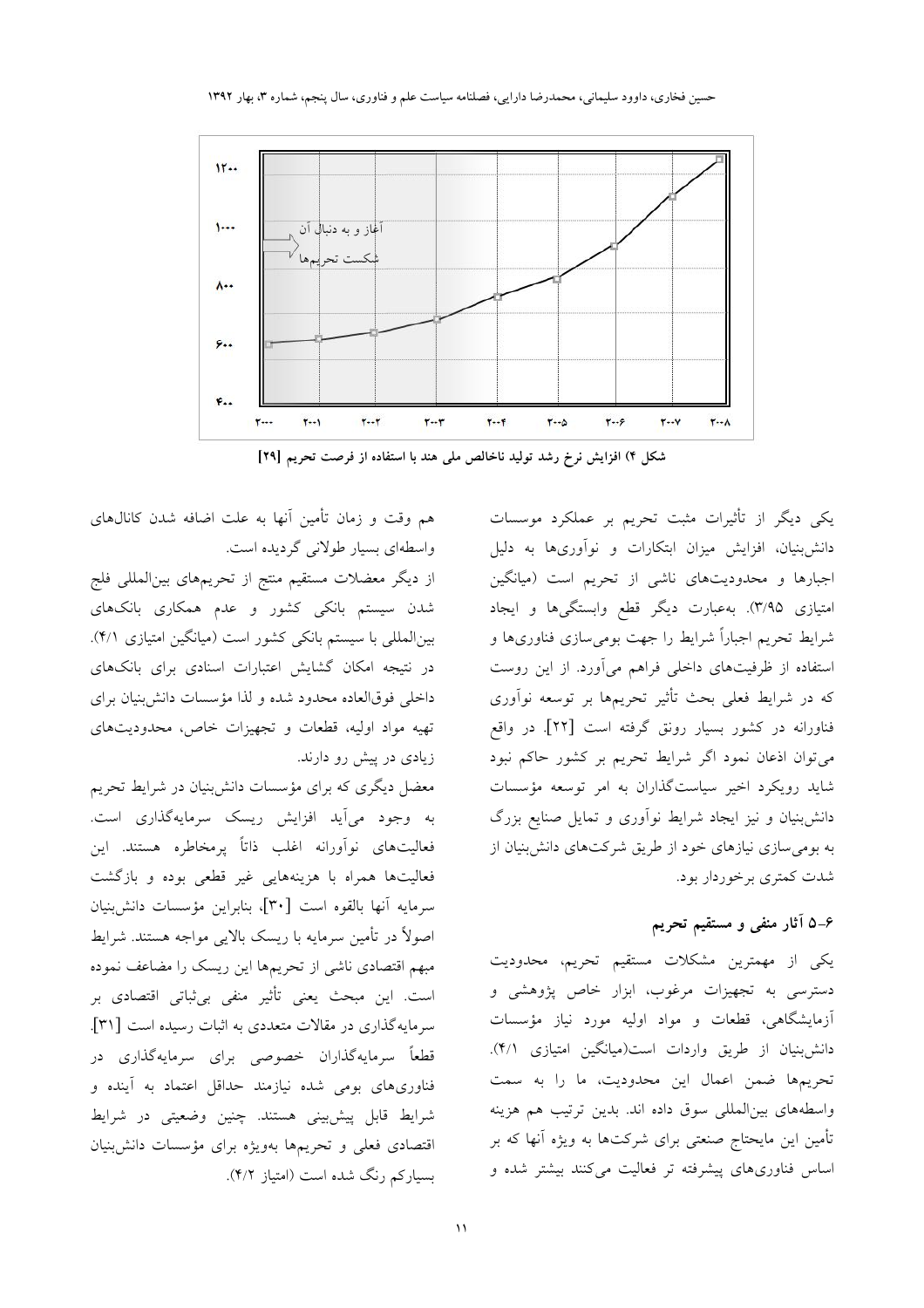

شکل ۴) افزایش نرخ رشد تولید ناخالص ملی هند با استفاده از فرصت تحریم [۲۹]

هم وقت و زمان تأمین آنها به علت اضافه شدن کانالهای واسطهای بسیار طولانی گردیده است.

از دیگر معضلات مستقیم منتج از تحریمهای بین|لمللی فلج شدن سیستم بانکی کشور و عدم همکاری بانکهای بین المللی با سیستم بانکی کشور است (میانگین امتیازی ۴/۱). در نتیجه امکان گشایش اعتبارات اسنادی برای بانکهای داخلی فوقالعاده محدود شده و لذا مؤسسات دانش بنیان برای تهیه مواد اولیه، قطعات و تجهیزات خاص، محدودیتهای زیادی در پیش رو دارند.

معضل دیگری که برای مؤسسات دانش;نیان در شرایط تحریم به وجود می آید افزایش ریسک سرمایهگذاری است. فعالیتهای نوآورانه اغلب ذاتاً پرمخاطره هستند. این فعالیتها همراه با هزینههایی غیر قطعی بوده و بازگشت سرمايه آنها بالقوه است [٣٠]، بنابراين مؤسسات دانش بنيان اصولاً در تأمین سرمایه با ریسک بالایی مواجه هستند. شرایط مبهم اقتصادى ناشى از تحريمها اين ريسك را مضاعف نموده است. این مبحث یعنی تأثیر منفی بی ثباتی اقتصادی بر سرمایهگذاری در مقالات متعددی به اثبات رسیده است [۳۱]. قطعاً سرمایهگذاران خصوصی برای سرمایهگذاری در فناوریهای بومی شده نیازمند حداقل اعتماد به آینده و شرايط قابل پيش بيني هستند. چنين وضعيتي در شرايط اقتصادی فعلی و تحریمها بهویژه برای مؤسسات دانش بنیان بسیارکم رنگ شده است (امتیاز ۴/۲).

یکی دیگر از تأثیرات مثبت تحریم بر عملکرد موسسات دانش بنیان، افزایش میزان ابتکارات و نوآوریها به دلیل اجبارها و محدودیتهای ناشی از تحریم است (میانگین امتیازی ۳/۹۵). بهعبارت دیگر قطع وابستگیها و ایجاد شرایط تحریم اجباراً شرایط را جهت بومی سازی فناوریها و استفاده از ظرفیتهای داخلی فراهم میآورد. از این روست که در شرایط فعلی بحث تأثیر تحریمها بر توسعه نوآوری فناورانه در کشور بسیار رونق گرفته است [۲۲]. در واقع می توان اذعان نمود اگر شرایط تحریم بر کشور حاکم نبود شاید رویکرد اخیر سیاستگذاران به امر توسعه مؤسسات دانش بنیان و نیز ایجاد شرایط نوآوری و تمایل صنایع بزرگ به بومی سازی نیازهای خود از طریق شرکتهای دانش بنیان از شدت کمتری برخوردار بود.

# ۶ــ۵ آثار منفى و مستقيم تحريم

یکی از مهمترین مشکلات مستقیم تحریم، محدودیت دسترسی به تجهیزات مرغوب، ابزار خاص پژوهشی و آزمایشگاهی، قطعات و مواد اولیه مورد نیاز مؤسسات دانش بنيان از طريق واردات است(ميانگين امتيازي ۴/۱). تحريمها ضمن اعمال اين محدوديت، ما را به سمت واسطههای بین المللی سوق داده اند. بدین ترتیب هم هزینه تأمین این مایحتاج صنعتی برای شرکتها به ویژه آنها که بر اساس فناوریهای پیشرفته تر فعالیت میکنند بیشتر شده و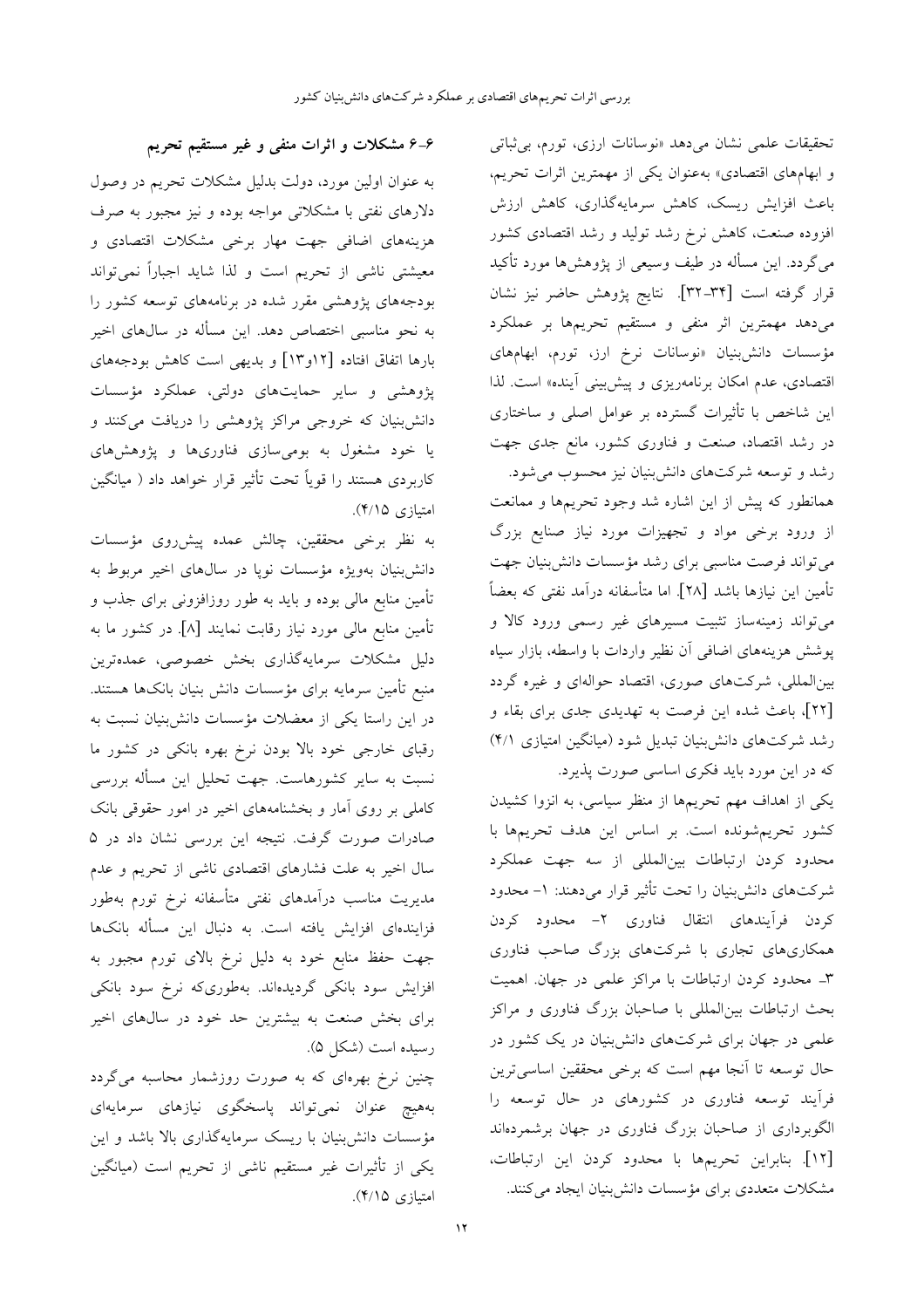تحقیقات علمی نشان میدهد «نوسانات ارزی، تورم، بی ثباتی و ابهامهای اقتصادی» بهعنوان یکی از مهمترین اثرات تحریم، باعث افزایش ریسک، کاهش سرمایهگذاری، کاهش ارزش افزوده صنعت، کاهش نرخ رشد تولید و رشد اقتصادی کشور میگردد. این مسأله در طیف وسیعی از پژوهشها مورد تأکید قرار گرفته است [۳۴–۳۲]. نتايج پژوهش حاضر نيز نشان میدهد مهمترین اثر منفی و مستقیم تحریمها بر عملکرد مؤسسات دانشبنیان «نوسانات نرخ ارز، تورم، ابهامهای اقتصادی، عدم امکان برنامهریزی و پیش بینی آینده» است. لذا این شاخص با تأثیرات گسترده بر عوامل اصلی و ساختاری در رشد اقتصاد، صنعت و فناوری کشور، مانع جدی جهت رشد و توسعه شرکتهای دانشبنیان نیز محسوب می شود.

همانطور که پیش از این اشاره شد وجود تحریمها و ممانعت از ورود برخی مواد و تجهیزات مورد نیاز صنایع بزرگ میتواند فرصت مناسبی برای رشد مؤسسات دانش بنیان جهت تأمين اين نيازها باشد [٢٨]. اما متأسفانه درآمد نفتى كه بعضاً می تواند زمینهساز تثبیت مسیرهای غیر رسمی ورود کالا و پوشش هزینههای اضافی آن نظیر واردات با واسطه، بازار سیاه بین المللی، شرکتهای صوری، اقتصاد حوالهای و غیره گردد [۲۲]، باعث شده این فرصت به تهدیدی جدی برای بقاء و رشد شرکتهای دانش بنیان تبدیل شود (میانگین امتیازی ۴/۱) که در این مورد باید فکری اساسی صورت پذیرد.

یکی از اهداف مهم تحریمها از منظر سیاسی، به انزوا کشیدن كشور تحريم شونده است. بر اساس اين هدف تحريمها با محدود کردن ارتباطات بین|لمللی از سه جهت عملکرد شرکتهای دانشبنیان را تحت تأثیر قرار میدهند: ۱– محدود کردن فرآیندهای انتقال فناوری ۲– محدود کردن همکاریهای تجاری با شرکتهای بزرگ صاحب فناوری ٣ـ محدود كردن ارتباطات با مراكز علمي در جهان. اهميت بحث ارتباطات بین|لمللی با صاحبان بزرگ فناوری و مراکز علمی در جهان برای شرکتهای دانشبنیان در یک کشور در حال توسعه تا آنجا مهم است که برخی محققین اساسیترین فرآیند توسعه فناوری در کشورهای در حال توسعه را الگوبرداری از صاحبان بزرگ فناوری در جهان برشمردهاند [١٢]. بنابراين تحريمها با محدود كردن اين ارتباطات، مشکلات متعددی برای مؤسسات دانش بنیان ایجاد می کنند.

۶–۶ مشکلات و اثرات منفی و غیر مستقیم تحریم

به عنوان اولین مورد، دولت بدلیل مشکلات تحریم در وصول دلارهای نفتی با مشکلاتی مواجه بوده و نیز مجبور به صرف هزینههای اضافی جهت مهار برخی مشکلات اقتصادی و معیشتی ناشی از تحریم است و لذا شاید اجباراً نمیتواند بودجههای پژوهشی مقرر شده در برنامههای توسعه کشور را به نحو مناسبی اختصاص دهد. این مسأله در سالهای اخیر بارها اتفاق افتاده [۱۲و۱۳] و بدیهی است کاهش بودجههای پژوهشی و سایر حمایتهای دولتی، عملکرد مؤسسات دانش بنیان که خروجی مراکز پژوهشی را دریافت میکنند و یا خود مشغول به بومی سازی فناوریها و پژوهشهای کاربردی هستند را قویاً تحت تأثیر قرار خواهد داد ( میانگین امتيازي ۴/۱۵).

به نظر برخی محققین، چالش عمده پیشرروی مؤسسات دانش بنیان بهویژه مؤسسات نویا در سال های اخیر مربوط به تأمین منابع مالی بوده و باید به طور روزافزونی برای جذب و تأمین منابع مالی مورد نیاز رقابت نمایند [۸]. در کشور ما به دلیل مشکلات سرمایهگذاری بخش خصوصی، عمدهترین منبع تأمين سرمايه براي مؤسسات دانش بنيان بانكها هستند. در این راستا یکی از معضلات مؤسسات دانش بنیان نسبت به رقبای خارجی خود بالا بودن نرخ بهره بانکی در کشور ما نسبت به سایر کشورهاست. جهت تحلیل این مسأله بررسی کاملی بر روی آمار و بخشنامههای اخیر در امور حقوقی بانک صادرات صورت گرفت. نتیجه این بررسی نشان داد در ۵ سال اخیر به علت فشارهای اقتصادی ناشی از تحریم و عدم مدیریت مناسب درآمدهای نفتی متأسفانه نرخ تورم بهطور فزایندهای افزایش یافته است. به دنبال این مسأله بانکها جهت حفظ منابع خود به دلیل نرخ بالای تورم مجبور به افزایش سود بانکی گردیدهاند. بهطوریکه نرخ سود بانکی برای بخش صنعت به بیشترین حد خود در سالهای اخیر رسيده است (شكل ۵).

چنین نرخ بهرهای که به صورت روزشمار محاسبه میگردد بههیچ عنوان نمیتواند پاسخگوی نیازهای سرمایهای مؤسسات دانش;بنیان با ریسک سرمایهگذاری بالا باشد و این یکی از تأثیرات غیر مستقیم ناشی از تحریم است (میانگین امتيازي ۴/۱۵).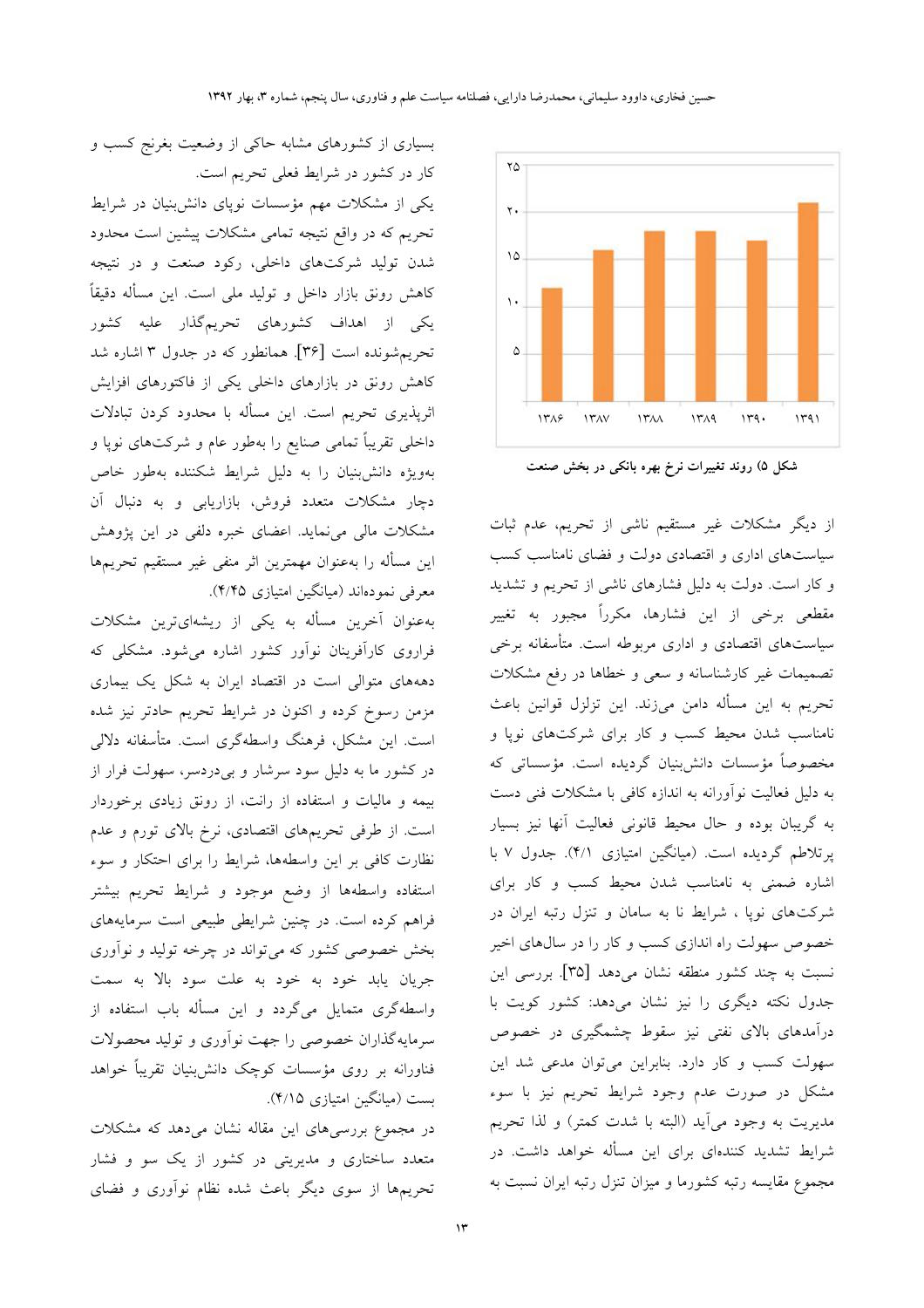

شکل ۵) روند تغییرات نرخ بهره بانکی در بخش صنعت

از دیگر مشکلات غیر مستقیم ناشی از تحریم، عدم ثبات سیاستهای اداری و اقتصادی دولت و فضای نامناسب کسب و کار است. دولت به دلیل فشارهای ناشی از تحریم و تشدید مقطعی برخی از این فشارها، مکرراً مجبور به تغییر سیاستهای اقتصادی و اداری مربوطه است. متأسفانه برخی تصمیمات غیر کارشناسانه و سعی و خطاها در رفع مشکلات تحريم به اين مسأله دامن ميزند. اين تزلزل قوانين باعث نامناسب شدن محیط کسب و کار برای شرکتهای نوپا و مخصوصاً مؤسسات دانش بنیان گردیده است. مؤسساتی که به دلیل فعالیت نوآورانه به اندازه کافی با مشکلات فنی دست به گریبان بوده و حال محیط قانونی فعالیت آنها نیز بسیار پرتلاطم گردیده است. (میانگین امتیازی ۴/۱). جدول ۷ با اشاره ضمنی به نامناسب شدن محیط کسب و کار برای شرکتهای نویا ، شرایط نا به سامان و تنزل رتبه ایران در خصوص سهولت راه اندازی کسب و کار را در سال های اخیر نسبت به چند کشور منطقه نشان میدهد [۳۵]. بررسی این جدول نکته دیگری را نیز نشان میدهد: کشور کویت با درآمدهای بالای نفتی نیز سقوط چشمگیری در خصوص سهولت کسب و کار دارد. بنابراین میتوان مدعی شد این مشکل در صورت عدم وجود شرایط تحریم نیز با سوء مدیریت به وجود میآید (البته با شدت کمتر) و لذا تحریم شرایط تشدید کنندهای برای این مسأله خواهد داشت. در مجموع مقایسه رتبه کشورما و میزان تنزل رتبه ایران نسبت به

بسیاری از کشورهای مشابه حاکی از وضعیت بغرنج کسب و کار در کشور در شرایط فعلی تحریم است.

یکی از مشکلات مهم مؤسسات نویای دانش بنیان در شرایط تحریم که در واقع نتیجه تمامی مشکلات پیشین است محدود شدن تولید شرکتهای داخلی، رکود صنعت و در نتیجه کاهش رونق بازار داخل و تولید ملی است. این مسأله دقیقاً یکی از اهداف کشورهای تحریمگذار علیه کشور تحریم شونده است [۳۶]. همانطور که در جدول ۳ اشاره شد کاهش رونق در بازارهای داخلی یکی از فاکتورهای افزایش اثرپذیری تحریم است. این مسأله با محدود کردن تبادلات داخلی تقریباً تمامی صنایع را بهطور عام و شرکتهای نوپا و بهویژه دانش بنیان را به دلیل شرایط شکننده بهطور خاص دچار مشکلات متعدد فروش، بازاریابی و به دنبال آن مشکلات مالی می نماید. اعضای خبره دلفی در این پژوهش این مسأله را بهعنوان مهمترین اثر منفی غیر مستقیم تحریمها معرفی نمودهاند (میانگین امتیازی ۴/۴۵).

بهعنوان آخرین مسأله به یکی از ریشهایترین مشکلات فراروی کارآفرینان نوآور کشور اشاره می شود. مشکل<sub>ی</sub> که دهههای متوالی است در اقتصاد ایران به شکل یک بیماری مزمن رسوخ کرده و اکنون در شرایط تحریم حادتر نیز شده است. این مشکل، فرهنگ واسطهگری است. متأسفانه دلالی در کشور ما به دلیل سود سرشار و بیدردسر، سهولت فرار از بیمه و مالیات و استفاده از رانت، از رونق زیادی برخوردار است. از طرفی تحریمهای اقتصادی، نرخ بالای تورم و عدم نظارت کافی بر این واسطهها، شرایط را برای احتکار و سوء استفاده واسطهها از وضع موجود و شرايط تحريم بيشتر فراهم کرده است. در چنین شرایطی طبیعی است سرمایههای بخش خصوصی کشور که میتواند در چرخه تولید و نوآوری جريان يابد خود به خود به علت سود بالا به سمت واسطهگری متمایل میگردد و این مسأله باب استفاده از سرمایهگذاران خصوصی را جهت نوآوری و تولید محصولات فناورانه بر روی مؤسسات کوچک دانش بنیان تقریباً خواهد بست (میانگین امتیازی ۴/۱۵).

در مجموع بررسیهای این مقاله نشان میدهد که مشکلات متعدد ساختاری و مدیریتی در کشور از یک سو و فشار تحریمها از سوی دیگر باعث شده نظام نوآوری و فضای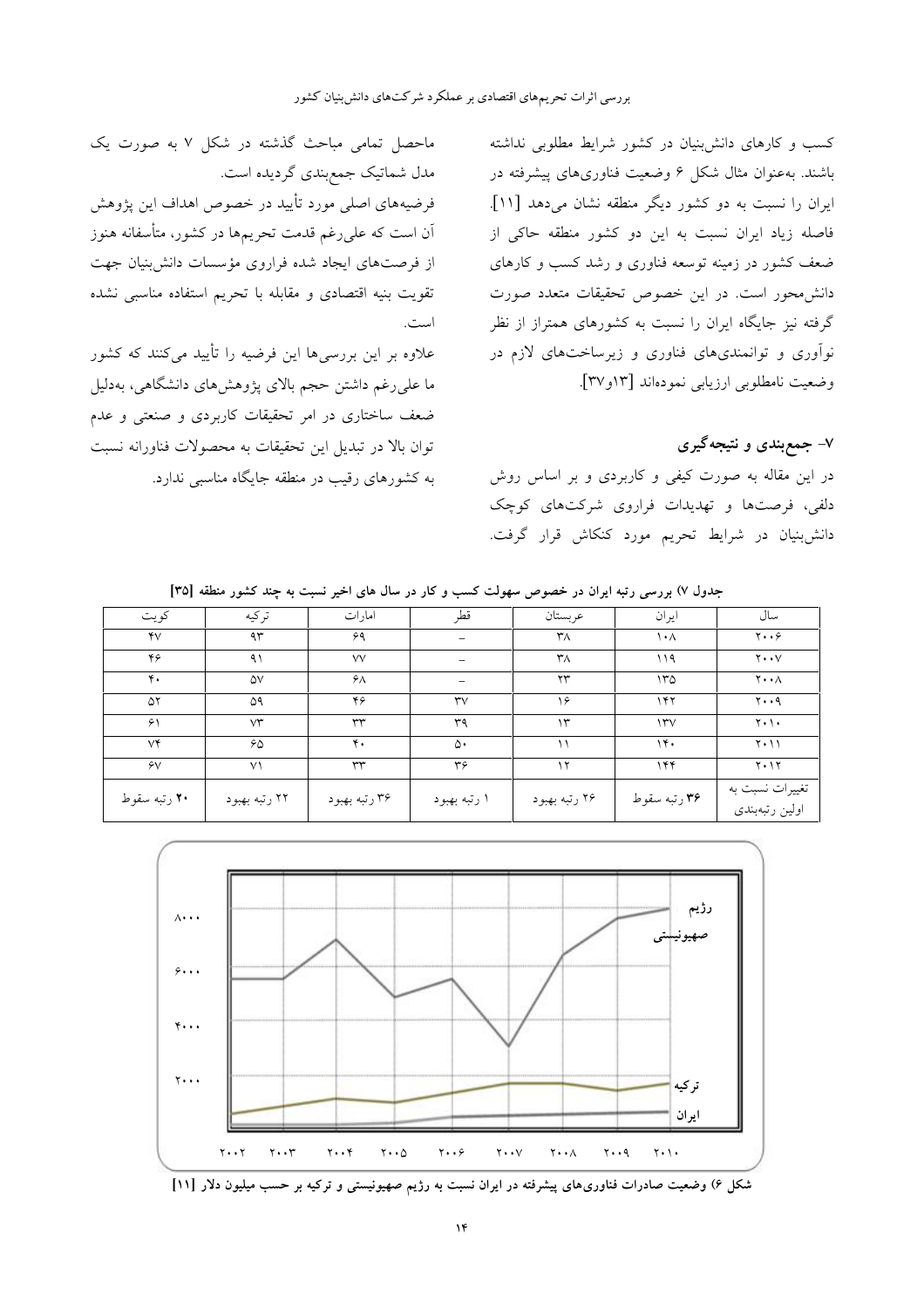ماحصل تمامی مباحث گذشته در شکل ۷ به صورت یک مدل شماتیک جمع بندی گردیده است. فرضیههای اصلی مورد تأیید در خصوص اهداف این یژوهش آن است که علی رغم قدمت تحریمها در کشور، متأسفانه هنوز از فرصتهای ایجاد شده فراروی مؤسسات دانش بنیان جهت

تقويت بنيه اقتصادى و مقابله با تحريم استفاده مناسبي نشده است.

علاوه بر این بررسیها این فرضیه را تأیید میکنند که کشور ما علی رغم داشتن حجم بالای پژوهشهای دانشگاهی، بهدلیل ضعف ساختاری در امر تحقیقات کاربردی و صنعتی و عدم توان بالا در تبدیل این تحقیقات به محصولات فناورانه نسبت به کشورهای رقیب در منطقه جایگاه مناسبی ندارد.

کسب و کارهای دانش بنیان در کشور شرایط مطلوبی نداشته باشند. به عنوان مثال شکل ۶ وضعیت فناوریهای پیشرفته در ایران را نسبت به دو کشور دیگر منطقه نشان میدهد [۱۱]. فاصله زیاد ایران نسبت به این دو کشور منطقه حاکی از ضعف کشور در زمینه توسعه فناوری و رشد کسب و کارهای دانش،محور است. در این خصوص تحقیقات متعدد صورت گرفته نیز جایگاه ایران را نسبت به کشورهای همتراز از نظر نوآوری و توانمندیهای فناوری و زیرساختهای لازم در وضعيت نامطلوبي ارزيابي نمودهاند [١٣ و٣٧].

### ۷– جمعږندی و نتیجهگیری

در این مقاله به صورت کیفی و کاربردی و بر اساس روش دلفی، فرصتها و تهدیدات فراروی شرکتهای کوچک دانش بنیان در شرایط تحریم مورد کنکاش قرار گرفت.

| کو پت          | تركيه          | امارات        | قطر                      | عربستان                | ايران        | سال                                 |
|----------------|----------------|---------------|--------------------------|------------------------|--------------|-------------------------------------|
| YV             | 4r             | ۶۹            |                          | ٣٨                     | ۱۰۸          | $y \cdot \cdot \epsilon$            |
| ۴۶             | ۹۱             | $\vee\vee$    | $\overline{\phantom{0}}$ | ٣٨                     | ۱۱۹          | $y \cdot y$                         |
| $\mathbf{r}$ . | ۵V             | $\lambda$     |                          | $\mathsf{Y}\mathsf{Y}$ | 170          | $\mathbf{Y} \cdot \cdot \mathbf{A}$ |
| ۵۲             | ۵۹             | ۴۶            | $\mathsf{r}\mathsf{v}$   | ۱۶                     | ۱۴۲          | $y \cdot q$                         |
| ۶۱             | $\vee\uparrow$ | ٣٣            | ٣٩                       | ۱۳                     | 15V          | $Y \cdot Y \cdot$                   |
| $V^*$          | ۶۵             | ۴.            | ۵۰                       | ۱۱                     | 14.          | $Y \cdot 11$                        |
| $\gamma$       | V <sub>1</sub> | rr            | r <sub>9</sub>           | ۱۲                     | 155          | $Y \cdot Y$                         |
| ۲۰ رتبه سقوط   | ۲۲ رتبه بهبود  | ۳۶ رتبه بهبود | ۱ رتبه بهبود             | ۲۶ رتبه بهبود          | ۳۶ رتبه سقوط | تغییرات نسبت به<br>اولين رتبهبندى   |

جدول ۷) بررسی رتبه ایران در خصوص سهولت کسب و کار در سال های اخیر نسبت به چند کشور منطقه [۳۵]



شکل ۶) وضعیت صادرات فناوریهای پیشرفته در ایران نسبت به رژیم صهیونیستی و ترکیه بر حسب میلیون دلار [۱۱]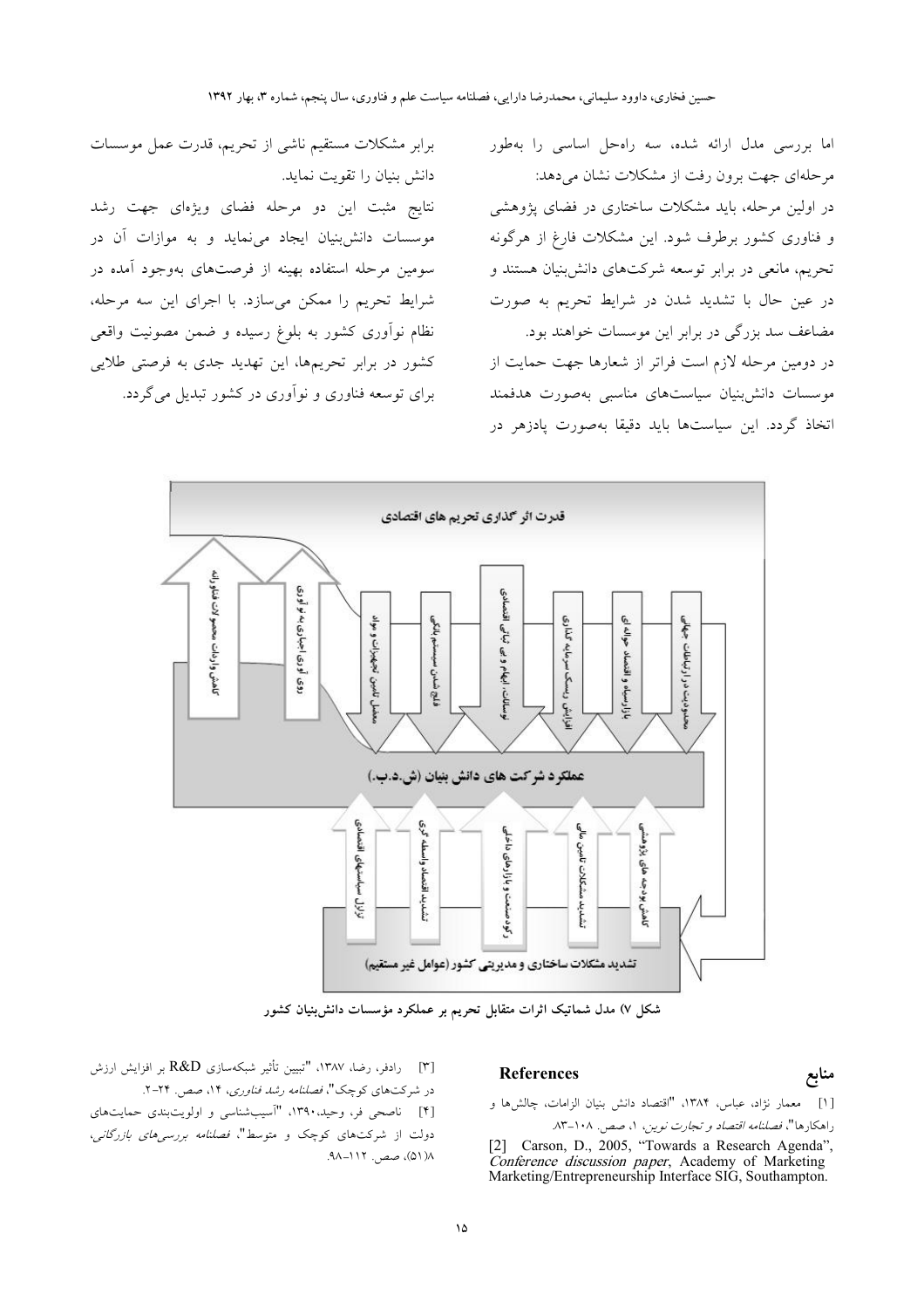اما بررسی مدل ارائه شده، سه راهحل اساسی را بهطور مرحلهای جهت برون رفت از مشکلات نشان می دهد: در اولین مرحله، باید مشکلات ساختاری در فضای پژوهشی و فناوری کشور برطرف شود. این مشکلات فارغ از هرگونه تحریم، مانعی در برابر توسعه شرکتهای دانش بنیان هستند و در عین حال با تشدید شدن در شرایط تحریم به صورت مضاعف سد بزرگی در برابر این موسسات خواهند بود. در دومین مرحله لازم است فراتر از شعارها جهت حمایت از موسسات دانش بنيان سياستهاى مناسبي بهصورت هدفمند اتخاذ گردد. این سیاستها باید دقیقا بهصورت یادزهر در

قدرت اثر گذاری تحریم های اقتصادی ناهش واردات محصو لات فناو رانه اوری اجباری به نو اوری اقتصادى C, تجهيزات و مواد ریسک سرمایه گذاری جهلق شدن سيستم بانكى ابهام وبی نباتی حواله حدوديت در ارتباطات بازارسياه واقتصاد نامين ces إسانات. e. فزايش و Ę عملکر د شر کت های دانش بنیان (ش.د.ب.) نشديد اقتصاد واسطه كرى قتصادى شنديد مشكلات تامين مالي كاهش بودجه هاى يزوهشي کودصنعت و بازارهای داخلی سياستهاى š٤ تشدید مشکلات ساختاری و مدیریتی کشور (عوامل غیر مستقیم)

شکل ۷) مدل شماتیک اثرات متقابل تحریم بر عملکرد مؤسسات دانش بنیان کشور

[٣] رادفر، رضا، ١٣٨٧، "تبيين تأثير شبكهسازي R&D بر افزايش ارزش در شرکتهای کوچک"، فصلنا*مه رشد فناوری*، ۱۴، صص. ۲۴-۲. [۴] ناصحی فر، وحید، ۱۳۹۰، "اسیب شناسی و اولویتبندی حمایتهای دولت از شرکتهای کوچک و متوسط"، *فصلنامه بررسی های بازرگانی*، ٨( ٥١)، صص. ١١٢-٩٨.

برابر مشكلات مستقيم ناشى از تحريم، قدرت عمل موسسات

نتایج مثبت این دو مرحله فضای ویژهای جهت رشد

موسسات دانش بنیان ایجاد می نماید و به موازات آن در سومین مرحله استفاده بهینه از فرصتهای بهوجود آمده در

شرایط تحریم را ممکن میسازد. با اجرای این سه مرحله،

نظام نوأوري كشور به بلوغ رسيده و ضمن مصونيت واقعي

کشور در برابر تحریمها، این تهدید جدی به فرصتی طلایی

برای توسعه فناوری و نوآوری در کشور تبدیل میگردد.

دانش بنیان را تقویت نماید.

#### **References**

#### [۱] معمار نژاد، عباس، ۱۳۸۴، "اقتصاد دانش بنیان الزامات، چالشها و راهكارها"، فصلنامه اقتصاد و تجارت نوين، ١، صص. ١٠٨-٨٣.

منابع

[2] Carson, D., 2005, "Towards a Research Agenda", Conference discussion paper, Academy of Marketing<br>Marketing/Entrepreneurship Interface SIG, Southampton.